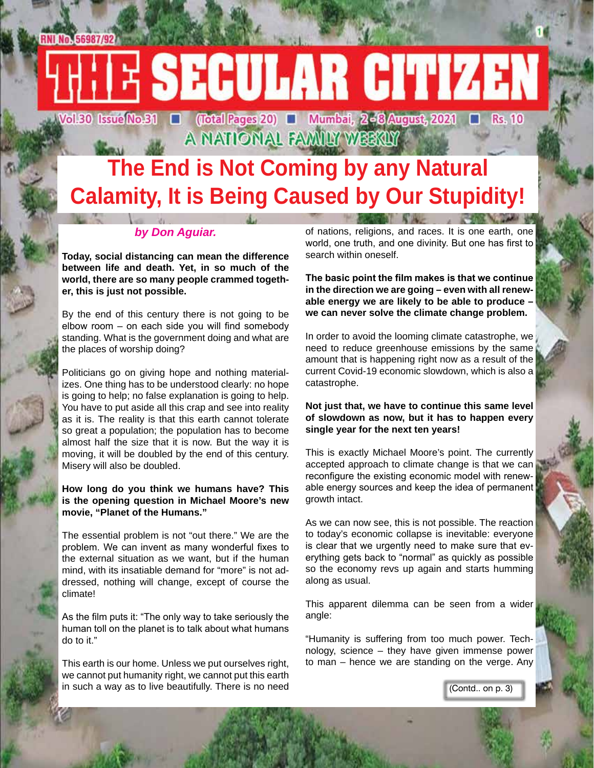(Total Pages 20) ■ Mumbai, 2-8 August, 2021 □ Rs. 10 A NATIONAL FAMILY WEEKLY

# **The End is Not Coming by any Natural Calamity, It is Being Caused by Our Stupidity!**

#### *by Don Aguiar.*

**Today, social distancing can mean the difference between life and death. Yet, in so much of the world, there are so many people crammed together, this is just not possible.**

By the end of this century there is not going to be elbow room – on each side you will find somebody standing. What is the government doing and what are the places of worship doing?

Politicians go on giving hope and nothing materializes. One thing has to be understood clearly: no hope is going to help; no false explanation is going to help. You have to put aside all this crap and see into reality as it is. The reality is that this earth cannot tolerate so great a population; the population has to become almost half the size that it is now. But the way it is moving, it will be doubled by the end of this century. Misery will also be doubled.

#### **How long do you think we humans have? This is the opening question in Michael Moore's new movie, "Planet of the Humans."**

The essential problem is not "out there." We are the problem. We can invent as many wonderful fixes to the external situation as we want, but if the human mind, with its insatiable demand for "more" is not addressed, nothing will change, except of course the climate!

As the film puts it: "The only way to take seriously the human toll on the planet is to talk about what humans do to it."

This earth is our home. Unless we put ourselves right, we cannot put humanity right, we cannot put this earth in such a way as to live beautifully. There is no need of nations, religions, and races. It is one earth, one world, one truth, and one divinity. But one has first to search within oneself.

**The basic point the film makes is that we continue in the direction we are going – even with all renewable energy we are likely to be able to produce – we can never solve the climate change problem.**

In order to avoid the looming climate catastrophe, we need to reduce greenhouse emissions by the same amount that is happening right now as a result of the current Covid-19 economic slowdown, which is also a catastrophe.

#### **Not just that, we have to continue this same level of slowdown as now, but it has to happen every single year for the next ten years!**

This is exactly Michael Moore's point. The currently accepted approach to climate change is that we can reconfigure the existing economic model with renewable energy sources and keep the idea of permanent growth intact.

As we can now see, this is not possible. The reaction to today's economic collapse is inevitable: everyone is clear that we urgently need to make sure that everything gets back to "normal" as quickly as possible so the economy revs up again and starts humming along as usual.

This apparent dilemma can be seen from a wider angle:

"Humanity is suffering from too much power. Technology, science – they have given immense power to man – hence we are standing on the verge. Any

(Contd.. on p. 3)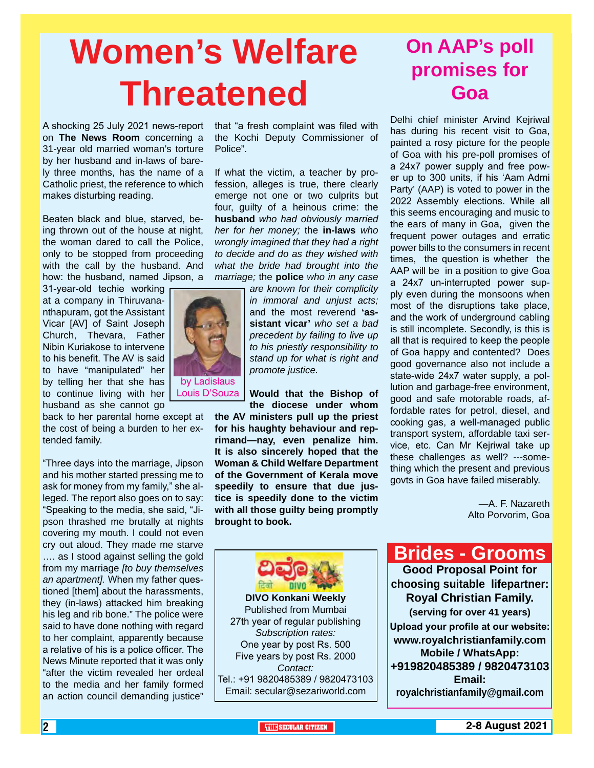# **Women's Welfare Threatened**

A shocking 25 July 2021 news-report on **The News Room** concerning a 31-year old married woman's torture by her husband and in-laws of barely three months, has the name of a Catholic priest, the reference to which makes disturbing reading.

Beaten black and blue, starved, being thrown out of the house at night, the woman dared to call the Police, only to be stopped from proceeding with the call by the husband. And how: the husband, named Jipson, a

31-year-old techie working at a company in Thiruvananthapuram, got the Assistant Vicar [AV] of Saint Joseph Church, Thevara, Father Nibin Kuriakose to intervene to his benefit. The AV is said to have "manipulated" her by telling her that she has to continue living with her Louis D'Souza husband as she cannot go

back to her parental home except at the cost of being a burden to her extended family.

"Three days into the marriage, Jipson and his mother started pressing me to ask for money from my family," she alleged. The report also goes on to say: "Speaking to the media, she said, "Jipson thrashed me brutally at nights covering my mouth. I could not even cry out aloud. They made me starve …. as I stood against selling the gold from my marriage *[to buy themselves an apartment].* When my father questioned [them] about the harassments, they (in-laws) attacked him breaking his leg and rib bone." The police were said to have done nothing with regard to her complaint, apparently because a relative of his is a police officer. The News Minute reported that it was only "after the victim revealed her ordeal to the media and her family formed an action council demanding justice"

that "a fresh complaint was filed with the Kochi Deputy Commissioner of Police".

If what the victim, a teacher by profession, alleges is true, there clearly emerge not one or two culprits but four, guilty of a heinous crime: the **husband** *who had obviously married her for her money;* the **in-laws** *who wrongly imagined that they had a right to decide and do as they wished with what the bride had brought into the marriage;* the **police** *who in any case* 

> *are known for their complicity in immoral and unjust acts;* and the most reverend **'assistant vicar'** *who set a bad precedent by failing to live up to his priestly responsibility to stand up for what is right and promote justice.*

#### **Would that the Bishop of the diocese under whom**

**the AV ministers pull up the priest for his haughty behaviour and reprimand—nay, even penalize him. It is also sincerely hoped that the Woman & Child Welfare Department of the Government of Kerala move speedily to ensure that due justice is speedily done to the victim with all those guilty being promptly brought to book.**

**On AAP's poll promises for Goa**

Delhi chief minister Arvind Keiriwal has during his recent visit to Goa, painted a rosy picture for the people of Goa with his pre-poll promises of a 24x7 power supply and free power up to 300 units, if his 'Aam Admi Party' (AAP) is voted to power in the 2022 Assembly elections. While all this seems encouraging and music to the ears of many in Goa, given the frequent power outages and erratic power bills to the consumers in recent times, the question is whether the AAP will be in a position to give Goa a 24x7 un-interrupted power supply even during the monsoons when most of the disruptions take place, and the work of underground cabling is still incomplete. Secondly, is this is all that is required to keep the people of Goa happy and contented? Does good governance also not include a state-wide 24x7 water supply, a pollution and garbage-free environment, good and safe motorable roads, affordable rates for petrol, diesel, and cooking gas, a well-managed public transport system, affordable taxi service, etc. Can Mr Kejriwal take up these challenges as well? ---something which the present and previous govts in Goa have failed miserably.

> —A. F. Nazareth Alto Porvorim, Goa

Tel.: +91 9820485389 / 9820473103 **Brides - Grooms Good Proposal Point for choosing suitable lifepartner: Royal Christian Family. (serving for over 41 years) Upload your profile at our website: www.royalchristianfamily.com Mobile / WhatsApp: +919820485389 / 9820473103 Email: royalchristianfamily@gmail.com**



Email: secular@sezariworld.com

**DIVO Konkani Weekly** Published from Mumbai 27th year of regular publishing *Subscription rates:* One year by post Rs. 500 Five years by post Rs. 2000 *Contact:*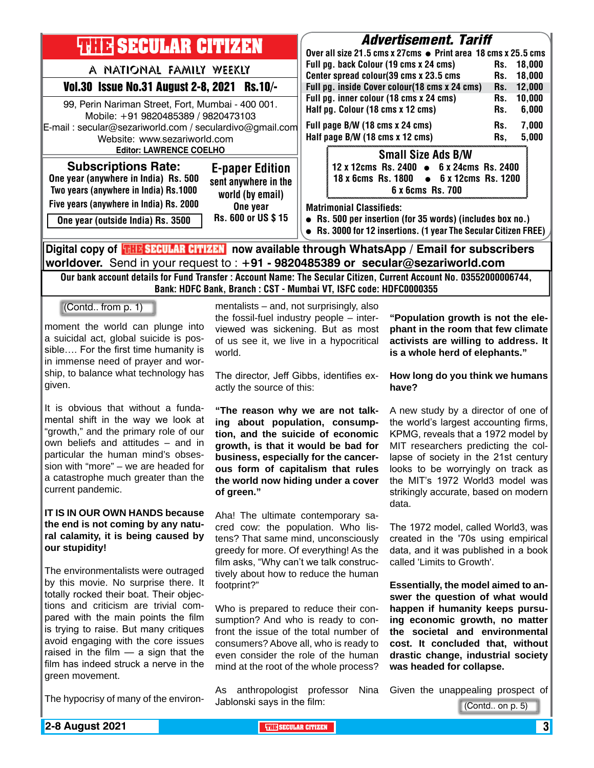| <b>THIR SECULAR CITIZEN</b>                                                                                                                                                                                           |                                          | <b>Advertisement. Tariff</b>                                                                                        |                                    |  |
|-----------------------------------------------------------------------------------------------------------------------------------------------------------------------------------------------------------------------|------------------------------------------|---------------------------------------------------------------------------------------------------------------------|------------------------------------|--|
|                                                                                                                                                                                                                       |                                          | Over all size 21.5 cms x 27cms • Print area 18 cms x 25.5 cms                                                       |                                    |  |
| A NATIONAL FAMILY WEEKLY                                                                                                                                                                                              |                                          | Full pg. back Colour (19 cms x 24 cms)                                                                              | 18,000<br>Rs.                      |  |
|                                                                                                                                                                                                                       |                                          | Center spread colour(39 cms x 23.5 cms                                                                              | 18,000<br>Rs.                      |  |
| Vol.30 Issue No.31 August 2-8, 2021 Rs.10/-                                                                                                                                                                           |                                          | Full pg. inside Cover colour(18 cms x 24 cms)                                                                       | 12,000<br>Rs.                      |  |
| 99, Perin Nariman Street, Fort, Mumbai - 400 001.<br>Mobile: +91 9820485389 / 9820473103<br>E-mail: secular@sezariworld.com / seculardivo@gmail.com<br>Website: www.sezariworld.com<br><b>Editor: LAWRENCE COELHO</b> |                                          | Full pg. inner colour (18 cms x 24 cms)                                                                             | 10,000<br>Rs.                      |  |
|                                                                                                                                                                                                                       |                                          | Half pg. Colour (18 cms x 12 cms)                                                                                   | 6,000<br>Rs.                       |  |
|                                                                                                                                                                                                                       |                                          | Full page B/W (18 cms x 24 cms)                                                                                     | 7,000<br>Rs.                       |  |
|                                                                                                                                                                                                                       |                                          | Half page B/W (18 cms x 12 cms)                                                                                     | 5,000<br>Rs,                       |  |
|                                                                                                                                                                                                                       |                                          | <b>Small Size Ads B/W</b>                                                                                           |                                    |  |
| <b>Subscriptions Rate:</b>                                                                                                                                                                                            | <b>E-paper Edition</b>                   | 6 x 24cms Rs. 2400<br>12 x 12cms Rs. 2400 $\bullet$                                                                 |                                    |  |
| One year (anywhere in India) Rs. 500                                                                                                                                                                                  | sent anywhere in the                     | 6 x 12cms Rs. 1200<br>18 x 6cms Rs. 1800<br>$\bullet$                                                               |                                    |  |
| Two years (anywhere in India) Rs.1000                                                                                                                                                                                 |                                          | 6 x 6cms Rs. 700                                                                                                    |                                    |  |
| Five years (anywhere in India) Rs. 2000                                                                                                                                                                               | world (by email)                         |                                                                                                                     |                                    |  |
|                                                                                                                                                                                                                       | One year                                 | <b>Matrimonial Classifieds:</b>                                                                                     |                                    |  |
| One year (outside India) Rs. 3500                                                                                                                                                                                     | Rs. 600 or US \$15                       | Rs. 500 per insertion (for 35 words) (includes box no.)                                                             |                                    |  |
|                                                                                                                                                                                                                       |                                          | Rs. 3000 for 12 insertions. (1 year The Secular Citizen FREE)                                                       |                                    |  |
|                                                                                                                                                                                                                       |                                          | Digital copy of <b>THE SECULAR CITIZEN</b> now available through WhatsApp / Email for subscribers                   |                                    |  |
|                                                                                                                                                                                                                       |                                          | worldover. Send in your request to: +91 - 9820485389 or secular@sezariworld.com                                     |                                    |  |
|                                                                                                                                                                                                                       |                                          | Our bank account details for Fund Transfer : Account Name: The Secular Citizen, Current Account No. 03552000006744, |                                    |  |
|                                                                                                                                                                                                                       |                                          | Bank: HDFC Bank, Branch: CST - Mumbai VT, ISFC code: HDFC0000355                                                    |                                    |  |
| (Contd from p. 1)                                                                                                                                                                                                     | mentalists – and, not surprisingly, also |                                                                                                                     |                                    |  |
|                                                                                                                                                                                                                       | the fossil-fuel industry people – inter- | "Population growth is not the ele-                                                                                  |                                    |  |
| moment the world can plunge into                                                                                                                                                                                      | viewed was sickening. But as most        |                                                                                                                     | phant in the room that few climate |  |
| a suicidal act, global suicide is pos-                                                                                                                                                                                | of us see it, we live in a hypocritical  | activists are willing to address. It                                                                                |                                    |  |
| sible For the first time humanity is                                                                                                                                                                                  | world.                                   | is a whole herd of elephants."                                                                                      |                                    |  |
| in immense need of prayer and wor-                                                                                                                                                                                    |                                          |                                                                                                                     |                                    |  |
| ship, to balance what technology has                                                                                                                                                                                  | The director, Jeff Gibbs, identifies ex- | How long do you think we humans                                                                                     |                                    |  |
| given.                                                                                                                                                                                                                | actly the source of this:                | have?                                                                                                               |                                    |  |
| It is obvious that without a funda-                                                                                                                                                                                   |                                          |                                                                                                                     |                                    |  |
| montal objft in the way we look at                                                                                                                                                                                    |                                          | "The reason why we are not talk- A new study by a director of one of                                                |                                    |  |

mental shift in the way we look at "growth," and the primary role of our own beliefs and attitudes – and in particular the human mind's obsession with "more" – we are headed for a catastrophe much greater than the current pandemic.

#### **IT IS IN OUR OWN HANDS because the end is not coming by any natural calamity, it is being caused by our stupidity!**

The environmentalists were outraged by this movie. No surprise there. It totally rocked their boat. Their objections and criticism are trivial compared with the main points the film is trying to raise. But many critiques avoid engaging with the core issues raised in the film — a sign that the film has indeed struck a nerve in the green movement.

The hypocrisy of many of the environ-

**ing about population, consumption, and the suicide of economic growth, is that it would be bad for business, especially for the cancerous form of capitalism that rules the world now hiding under a cover of green."**

Aha! The ultimate contemporary sacred cow: the population. Who listens? That same mind, unconsciously greedy for more. Of everything! As the film asks, "Why can't we talk constructively about how to reduce the human footprint?"

Who is prepared to reduce their consumption? And who is ready to confront the issue of the total number of consumers? Above all, who is ready to even consider the role of the human mind at the root of the whole process?

As anthropologist professor Nina Jablonski says in the film:

the world's largest accounting firms, KPMG, reveals that a 1972 model by MIT researchers predicting the collapse of society in the 21st century looks to be worryingly on track as the MIT's 1972 World3 model was strikingly accurate, based on modern data.

The 1972 model, called World3, was created in the '70s using empirical data, and it was published in a book called 'Limits to Growth'.

**Essentially, the model aimed to answer the question of what would happen if humanity keeps pursuing economic growth, no matter the societal and environmental cost. It concluded that, without drastic change, industrial society was headed for collapse.**

Given the unappealing prospect of

(Contd.. on p. 5)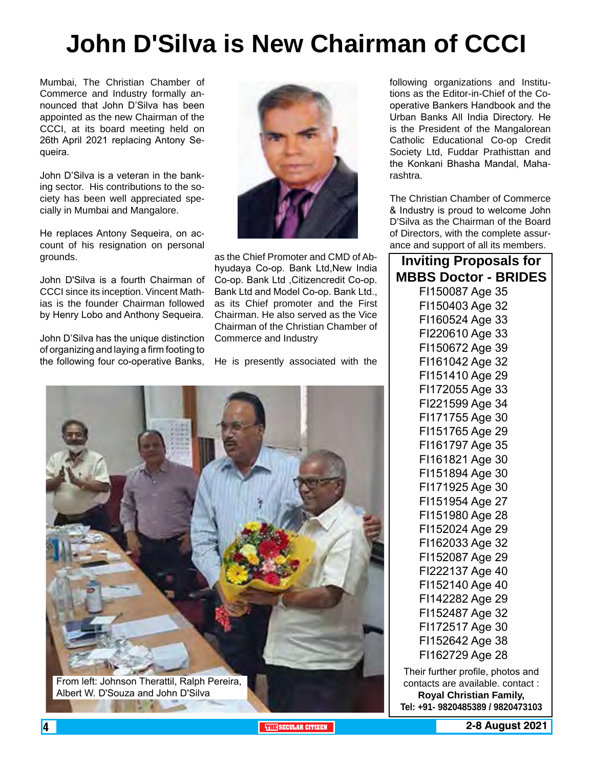# **John D'Silva is New Chairman of CCCI**

Mumbai, The Christian Chamber of Commerce and Industry formally announced that John D'Silva has been appointed as the new Chairman of the CCCI, at its board meeting held on 26th April 2021 replacing Antony Sequeira.

John D'Silva is a veteran in the banking sector. His contributions to the society has been well appreciated specially in Mumbai and Mangalore.

He replaces Antony Sequeira, on account of his resignation on personal grounds.

John D'Silva is a fourth Chairman of CCCI since its inception. Vincent Mathias is the founder Chairman followed by Henry Lobo and Anthony Sequeira.

John D'Silva has the unique distinction of organizing and laying a firm footing to the following four co-operative Banks, He is presently associated with the



as the Chief Promoter and CMD of Abhyudaya Co-op. Bank Ltd,New India Co-op. Bank Ltd ,Citizencredit Co-op. Bank Ltd and Model Co-op. Bank Ltd., as its Chief promoter and the First Chairman. He also served as the Vice Chairman of the Christian Chamber of Commerce and Industry



following organizations and Institutions as the Editor-in-Chief of the Cooperative Bankers Handbook and the Urban Banks All India Directory. He is the President of the Mangalorean Catholic Educational Co-op Credit Society Ltd, Fuddar Prathisttan and the Konkani Bhasha Mandal, Maharashtra.

The Christian Chamber of Commerce & Industry is proud to welcome John D'Silva as the Chairman of the Board of Directors, with the complete assurance and support of all its members.

| <b>Inviting Proposals for</b> |  |
|-------------------------------|--|
| <b>MBBS Doctor - BRIDES</b>   |  |
| F1150087 Age 35               |  |
| F1150403 Age 32               |  |
| F1160524 Age 33               |  |
| FI220610 Age 33               |  |
| F1150672 Age 39               |  |
| F1161042 Age 32               |  |
| F1151410 Age 29               |  |
| F1172055 Age 33               |  |
| FI221599 Age 34               |  |
| FI171755 Age 30               |  |
| F1151765 Age 29               |  |
| F1161797 Age 35               |  |
| F1161821 Age 30               |  |
| FI151894 Age 30               |  |
| F1171925 Age 30               |  |
| F1151954 Age 27               |  |
| F1151980 Age 28               |  |
| F1152024 Age 29               |  |
| F1162033 Age 32               |  |
| F1152087 Age 29               |  |
| FI222137 Age 40               |  |
| F1152140 Age 40               |  |
| F1142282 Age 29               |  |
| F1152487 Age 32               |  |
| F1172517 Age 30               |  |
| F1152642 Age 38               |  |
| F1162729 Age 28               |  |
|                               |  |

Their further profile, photos and contacts are available. contact : **Royal Christian Family, Tel: +91- 9820485389 / 9820473103**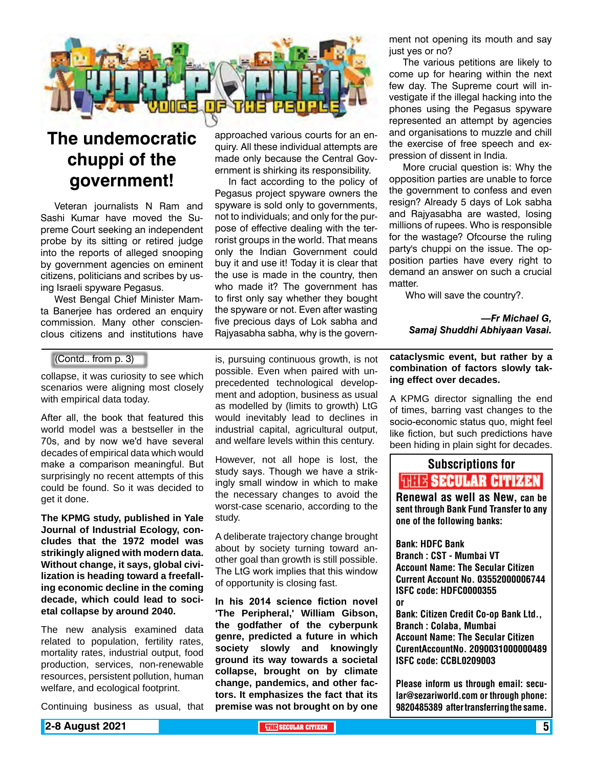

## **The undemocratic chuppi of the government!**

Veteran journalists N Ram and Sashi Kumar have moved the Supreme Court seeking an independent probe by its sitting or retired judge into the reports of alleged snooping by government agencies on eminent citizens, politicians and scribes by using Israeli spyware Pegasus.

West Bengal Chief Minister Mamta Banerjee has ordered an enquiry commission. Many other consciencIous citizens and institutions have

#### (Contd.. from p. 3)

collapse, it was curiosity to see which scenarios were aligning most closely with empirical data today.

After all, the book that featured this world model was a bestseller in the 70s, and by now we'd have several decades of empirical data which would make a comparison meaningful. But surprisingly no recent attempts of this could be found. So it was decided to get it done.

**The KPMG study, published in Yale Journal of Industrial Ecology, concludes that the 1972 model was strikingly aligned with modern data. Without change, it says, global civilization is heading toward a freefalling economic decline in the coming decade, which could lead to societal collapse by around 2040.**

The new analysis examined data related to population, fertility rates, mortality rates, industrial output, food production, services, non-renewable resources, persistent pollution, human welfare, and ecological footprint.

Continuing business as usual, that

approached various courts for an enquiry. All these individual attempts are made only because the Central Government is shirking its responsibility.

In fact according to the policy of Pegasus project spyware owners the spyware is sold only to governments, not to individuals; and only for the purpose of effective dealing with the terrorist groups in the world. That means only the Indian Government could buy it and use it! Today it is clear that the use is made in the country, then who made it? The government has to first only say whether they bought the spyware or not. Even after wasting five precious days of Lok sabha and Rajyasabha sabha, why is the govern-

is, pursuing continuous growth, is not possible. Even when paired with unprecedented technological development and adoption, business as usual as modelled by (limits to growth) LtG would inevitably lead to declines in industrial capital, agricultural output, and welfare levels within this century.

However, not all hope is lost, the study says. Though we have a strikingly small window in which to make the necessary changes to avoid the worst-case scenario, according to the study.

A deliberate trajectory change brought about by society turning toward another goal than growth is still possible. The LtG work implies that this window of opportunity is closing fast.

**In his 2014 science fiction novel 'The Peripheral,' William Gibson, the godfather of the cyberpunk genre, predicted a future in which society slowly and knowingly ground its way towards a societal collapse, brought on by climate change, pandemics, and other factors. It emphasizes the fact that its premise was not brought on by one** 

ment not opening its mouth and say just yes or no?

The various petitions are likely to come up for hearing within the next few day. The Supreme court will investigate if the illegal hacking into the phones using the Pegasus spyware represented an attempt by agencies and organisations to muzzle and chill the exercise of free speech and expression of dissent in India.

More crucial question is: Why the opposition parties are unable to force the government to confess and even resign? Already 5 days of Lok sabha and Rajyasabha are wasted, losing millions of rupees. Who is responsible for the wastage? Ofcourse the ruling party's chuppi on the issue. The opposition parties have every right to demand an answer on such a crucial matter.

Who will save the country?.

*—Fr Michael G, Samaj Shuddhi Abhiyaan Vasai.*

**cataclysmic event, but rather by a combination of factors slowly taking effect over decades.**

A KPMG director signalling the end of times, barring vast changes to the socio-economic status quo, might feel like fiction, but such predictions have been hiding in plain sight for decades.

## Subscriptions for **THIS SECULAR CITIZEN**<br>Renewal as well as New, can be

sent through Bank Fund Transfer to any one of the following banks:

Bank: HDFC Bank Branch : CST - Mumbai VT Account Name: The Secular Citizen Current Account No. 03552000006744 ISFC code: HDFC0000355 or

Bank: Citizen Credit Co-op Bank Ltd., Branch : Colaba, Mumbai Account Name: The Secular Citizen CurentAccountNo. 2090031000000489 ISFC code: CCBL0209003

Please inform us through email: secular@sezariworld.com or through phone: 9820485389 after transferring the same.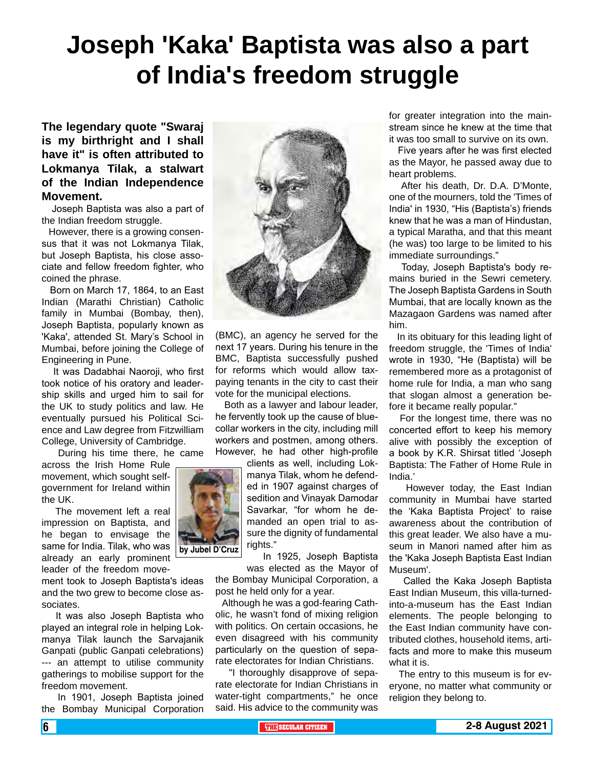# **Joseph 'Kaka' Baptista was also a part of India's freedom struggle**

**The legendary quote "Swaraj is my birthright and I shall have it" is often attributed to Lokmanya Tilak, a stalwart of the Indian Independence Movement.**

 Joseph Baptista was also a part of the Indian freedom struggle.

 However, there is a growing consensus that it was not Lokmanya Tilak, but Joseph Baptista, his close associate and fellow freedom fighter, who coined the phrase.

 Born on March 17, 1864, to an East Indian (Marathi Christian) Catholic family in Mumbai (Bombay, then), Joseph Baptista, popularly known as 'Kaka', attended St. Mary's School in Mumbai, before joining the College of Engineering in Pune.

 It was Dadabhai Naoroji, who first took notice of his oratory and leadership skills and urged him to sail for the UK to study politics and law. He eventually pursued his Political Science and Law degree from Fitzwilliam College, University of Cambridge.

During his time there, he came

across the Irish Home Rule movement, which sought selfgovernment for Ireland within the UK.

 The movement left a real impression on Baptista, and he began to envisage the same for India. Tilak, who was already an early prominent leader of the freedom move-

ment took to Joseph Baptista's ideas and the two grew to become close associates.

 It was also Joseph Baptista who played an integral role in helping Lokmanya Tilak launch the Sarvajanik Ganpati (public Ganpati celebrations) --- an attempt to utilise community gatherings to mobilise support for the freedom movement.

 In 1901, Joseph Baptista joined the Bombay Municipal Corporation



(BMC), an agency he served for the next 17 years. During his tenure in the BMC, Baptista successfully pushed for reforms which would allow taxpaying tenants in the city to cast their vote for the municipal elections.

 Both as a lawyer and labour leader, he fervently took up the cause of bluecollar workers in the city, including mill workers and postmen, among others. However, he had other high-profile

> clients as well, including Lokmanya Tilak, whom he defended in 1907 against charges of sedition and Vinayak Damodar Savarkar, "for whom he demanded an open trial to assure the dignity of fundamental rights."

 In 1925, Joseph Baptista was elected as the Mayor of

the Bombay Municipal Corporation, a post he held only for a year.

 Although he was a god-fearing Catholic, he wasn't fond of mixing religion with politics. On certain occasions, he even disagreed with his community particularly on the question of separate electorates for Indian Christians.

 "I thoroughly disapprove of separate electorate for Indian Christians in water-tight compartments," he once said. His advice to the community was

for greater integration into the mainstream since he knew at the time that it was too small to survive on its own.

 Five years after he was first elected as the Mayor, he passed away due to heart problems.

 After his death, Dr. D.A. D'Monte, one of the mourners, told the 'Times of India' in 1930, "His (Baptista's) friends knew that he was a man of Hindustan, a typical Maratha, and that this meant (he was) too large to be limited to his immediate surroundings."

 Today, Joseph Baptista's body remains buried in the Sewri cemetery. The Joseph Baptista Gardens in South Mumbai, that are locally known as the Mazagaon Gardens was named after him.

 In its obituary for this leading light of freedom struggle, the 'Times of India' wrote in 1930, "He (Baptista) will be remembered more as a protagonist of home rule for India, a man who sang that slogan almost a generation before it became really popular."

 For the longest time, there was no concerted effort to keep his memory alive with possibly the exception of a book by K.R. Shirsat titled 'Joseph Baptista: The Father of Home Rule in India.'

 However today, the East Indian community in Mumbai have started the 'Kaka Baptista Project' to raise awareness about the contribution of this great leader. We also have a museum in Manori named after him as the 'Kaka Joseph Baptista East Indian Museum'.

 Called the Kaka Joseph Baptista East Indian Museum, this villa-turnedinto-a-museum has the East Indian elements. The people belonging to the East Indian community have contributed clothes, household items, artifacts and more to make this museum what it is.

 The entry to this museum is for everyone, no matter what community or religion they belong to.

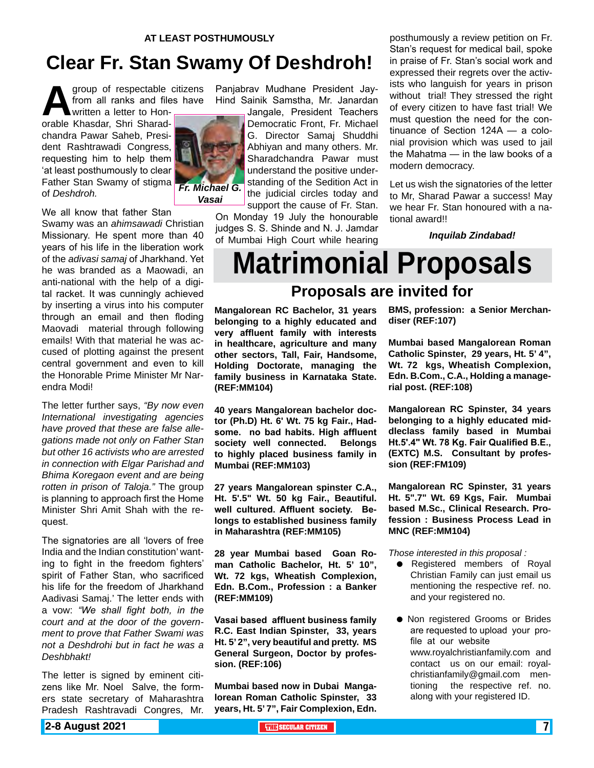## **Clear Fr. Stan Swamy Of Deshdroh!**

group of respectable citizens<br>from all ranks and files have<br>orable Khasdar. Shri Sharadfrom all ranks and files have written a letter to Hon-

orable Khasdar, Shri Sharadchandra Pawar Saheb, President Rashtrawadi Congress, requesting him to help them 'at least posthumously to clear Father Stan Swamy of stigma of *Deshdroh.*



Panjabrav Mudhane President Jay-Hind Sainik Samstha, Mr. Janardan

Jangale, President Teachers Democratic Front, Fr. Michael G. Director Samaj Shuddhi Abhiyan and many others. Mr. Sharadchandra Pawar must understand the positive understanding of the Sedition Act in the judicial circles today and support the cause of Fr. Stan.

On Monday 19 July the honourable judges S. S. Shinde and N. J. Jamdar of Mumbai High Court while hearing posthumously a review petition on Fr. Stan's request for medical bail, spoke in praise of Fr. Stan's social work and expressed their regrets over the activists who languish for years in prison without trial! They stressed the right of every citizen to have fast trial! We must question the need for the continuance of Section 124A — a colonial provision which was used to jail the Mahatma — in the law books of a modern democracy.

Let us wish the signatories of the letter to Mr, Sharad Pawar a success! May we hear Fr. Stan honoured with a national award!!

*Inquilab Zindabad!*

# **Matrimonial Proposals**

#### **Proposals are invited for**

**Mangalorean RC Bachelor, 31 years belonging to a highly educated and very affluent family with interests in healthcare, agriculture and many other sectors, Tall, Fair, Handsome, Holding Doctorate, managing the family business in Karnataka State. (REF:MM104)**

**40 years Mangalorean bachelor doctor (Ph.D) Ht. 6' Wt. 75 kg Fair., Hadsome. no bad habits. High affluent society well connected. Belongs to highly placed business family in Mumbai (REF:MM103)**

**27 years Mangalorean spinster C.A., Ht. 5'.5" Wt. 50 kg Fair., Beautiful. well cultured. Affluent society. Belongs to established business family in Maharashtra (REF:MM105)**

**28 year Mumbai based Goan Roman Catholic Bachelor, Ht. 5' 10", Wt. 72 kgs, Wheatish Complexion, Edn. B.Com., Profession : a Banker (REF:MM109)**

**Vasai based affluent business family R.C. East Indian Spinster, 33, years Ht. 5' 2", very beautiful and pretty. MS General Surgeon, Doctor by profession. (REF:106)**

**Mumbai based now in Dubai Mangalorean Roman Catholic Spinster, 33 years, Ht. 5' 7", Fair Complexion, Edn.** 

**BMS, profession: a Senior Merchandiser (REF:107)**

**Mumbai based Mangalorean Roman Catholic Spinster, 29 years, Ht. 5' 4", Wt. 72 kgs, Wheatish Complexion, Edn. B.Com., C.A., Holding a managerial post. (REF:108)** 

**Mangalorean RC Spinster, 34 years belonging to a highly educated middleclass family based in Mumbai Ht.5'.4" Wt. 78 Kg. Fair Qualified B.E., (EXTC) M.S. Consultant by profession (REF:FM109)**

**Mangalorean RC Spinster, 31 years Ht. 5".7" Wt. 69 Kgs, Fair. Mumbai based M.Sc., Clinical Research. Profession : Business Process Lead in MNC (REF:MM104)**

*Those interested in this proposal :*

- **•** Registered members of Royal Christian Family can just email us mentioning the respective ref. no. and your registered no.
- **Non registered Grooms or Brides** are requested to upload your profile at our website www.royalchristianfamily.com and contact us on our email: royalchristianfamily@gmail.com mentioning the respective ref. no. along with your registered ID.

#### Missionary. He spent more than 40

Swamy was an *ahimsawadi* Christian

We all know that father Stan

years of his life in the liberation work of the *adivasi samaj* of Jharkhand. Yet he was branded as a Maowadi, an anti-national with the help of a digital racket. It was cunningly achieved by inserting a virus into his computer through an email and then floding Maovadi material through following emails! With that material he was accused of plotting against the present central government and even to kill the Honorable Prime Minister Mr Narendra Modi!

The letter further says, *"By now even International investigating agencies have proved that these are false allegations made not only on Father Stan but other 16 activists who are arrested in connection with Elgar Parishad and Bhima Koregaon event and are being rotten in prison of Taloja."* The group is planning to approach first the Home Minister Shri Amit Shah with the request.

The signatories are all 'lovers of free India and the Indian constitution' wanting to fight in the freedom fighters' spirit of Father Stan, who sacrificed his life for the freedom of Jharkhand Aadivasi Samaj.' The letter ends with a vow: *"We shall fight both, in the court and at the door of the government to prove that Father Swami was not a Deshdrohi but in fact he was a Deshbhakt!*

The letter is signed by eminent citizens like Mr. Noel Salve, the formers state secretary of Maharashtra Pradesh Rashtravadi Congres, Mr.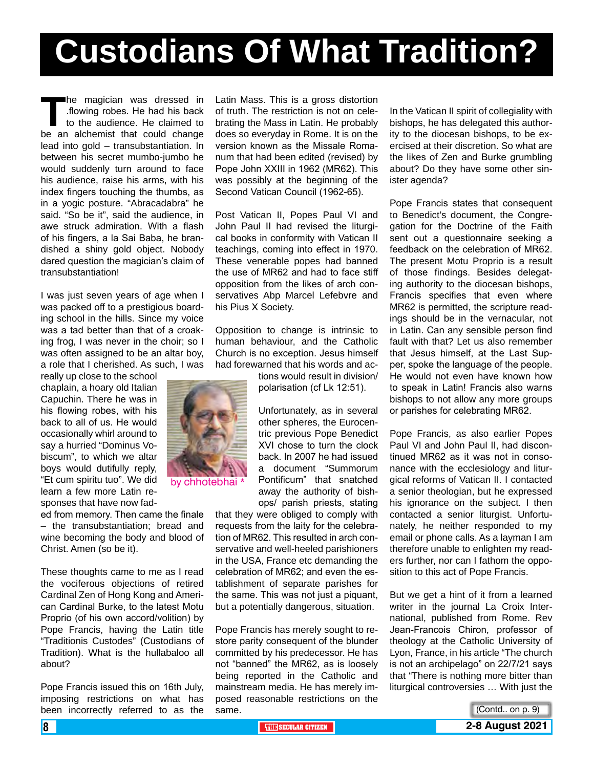# **Custodians Of What Tradition?**

**The magician was dressed in flowing robes. He had his back<br>to the audience. He claimed to<br>be an alchemist that could change** .flowing robes. He had his back to the audience. He claimed to be an alchemist that could change lead into gold – transubstantiation. In between his secret mumbo-jumbo he would suddenly turn around to face his audience, raise his arms, with his index fingers touching the thumbs, as in a yogic posture. "Abracadabra" he said. "So be it", said the audience, in awe struck admiration. With a flash of his fingers, a la Sai Baba, he brandished a shiny gold object. Nobody dared question the magician's claim of transubstantiation!

I was just seven years of age when I was packed off to a prestigious boarding school in the hills. Since my voice was a tad better than that of a croaking frog, I was never in the choir; so I was often assigned to be an altar boy, a role that I cherished. As such, I was

really up close to the school chaplain, a hoary old Italian Capuchin. There he was in his flowing robes, with his back to all of us. He would occasionally whirl around to say a hurried "Dominus Vobiscum", to which we altar boys would dutifully reply, "Et cum spiritu tuo". We did learn a few more Latin responses that have now fad-

ed from memory. Then came the finale – the transubstantiation; bread and wine becoming the body and blood of Christ. Amen (so be it).

These thoughts came to me as I read the vociferous objections of retired Cardinal Zen of Hong Kong and American Cardinal Burke, to the latest Motu Proprio (of his own accord/volition) by Pope Francis, having the Latin title "Traditionis Custodes" (Custodians of Tradition). What is the hullabaloo all about?

Pope Francis issued this on 16th July, imposing restrictions on what has been incorrectly referred to as the

Latin Mass. This is a gross distortion of truth. The restriction is not on celebrating the Mass in Latin. He probably does so everyday in Rome. It is on the version known as the Missale Romanum that had been edited (revised) by Pope John XXIII in 1962 (MR62). This was possibly at the beginning of the Second Vatican Council (1962-65).

Post Vatican II, Popes Paul VI and John Paul II had revised the liturgical books in conformity with Vatican II teachings, coming into effect in 1970. These venerable popes had banned the use of MR62 and had to face stiff opposition from the likes of arch conservatives Abp Marcel Lefebvre and his Pius X Society.

Opposition to change is intrinsic to human behaviour, and the Catholic Church is no exception. Jesus himself had forewarned that his words and ac-

> tions would result in division/ polarisation (cf Lk 12:51).

Unfortunately, as in several other spheres, the Eurocentric previous Pope Benedict XVI chose to turn the clock back. In 2007 he had issued a document "Summorum Pontificum" that snatched away the authority of bishops/ parish priests, stating

that they were obliged to comply with requests from the laity for the celebration of MR62. This resulted in arch conservative and well-heeled parishioners in the USA, France etc demanding the celebration of MR62; and even the establishment of separate parishes for the same. This was not just a piquant, but a potentially dangerous, situation.

Pope Francis has merely sought to restore parity consequent of the blunder committed by his predecessor. He has not "banned" the MR62, as is loosely being reported in the Catholic and mainstream media. He has merely imposed reasonable restrictions on the same.

In the Vatican II spirit of collegiality with bishops, he has delegated this authority to the diocesan bishops, to be exercised at their discretion. So what are the likes of Zen and Burke grumbling about? Do they have some other sinister agenda?

Pope Francis states that consequent to Benedict's document, the Congregation for the Doctrine of the Faith sent out a questionnaire seeking a feedback on the celebration of MR62. The present Motu Proprio is a result of those findings. Besides delegating authority to the diocesan bishops, Francis specifies that even where MR62 is permitted, the scripture readings should be in the vernacular, not in Latin. Can any sensible person find fault with that? Let us also remember that Jesus himself, at the Last Supper, spoke the language of the people. He would not even have known how to speak in Latin! Francis also warns bishops to not allow any more groups or parishes for celebrating MR62.

Pope Francis, as also earlier Popes Paul VI and John Paul II, had discontinued MR62 as it was not in consonance with the ecclesiology and liturgical reforms of Vatican II. I contacted a senior theologian, but he expressed his ignorance on the subject. I then contacted a senior liturgist. Unfortunately, he neither responded to my email or phone calls. As a layman I am therefore unable to enlighten my readers further, nor can I fathom the opposition to this act of Pope Francis.

But we get a hint of it from a learned writer in the journal La Croix International, published from Rome. Rev Jean-Francois Chiron, professor of theology at the Catholic University of Lyon, France, in his article "The church is not an archipelago" on 22/7/21 says that "There is nothing more bitter than liturgical controversies … With just the





by chhotebhai \*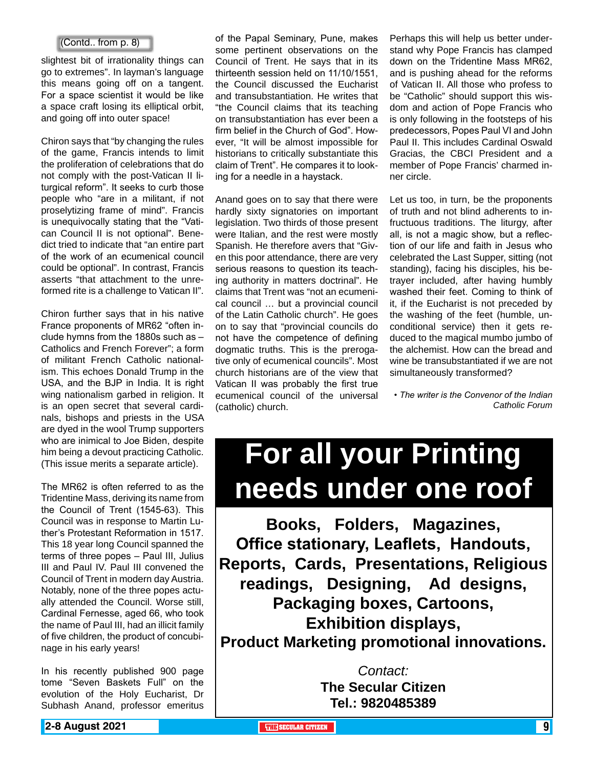#### (Contd.. from p. 8)

slightest bit of irrationality things can go to extremes". In layman's language this means going off on a tangent. For a space scientist it would be like a space craft losing its elliptical orbit, and going off into outer space!

Chiron says that "by changing the rules of the game, Francis intends to limit the proliferation of celebrations that do not comply with the post-Vatican II liturgical reform". It seeks to curb those people who "are in a militant, if not proselytizing frame of mind". Francis is unequivocally stating that the "Vatican Council II is not optional". Benedict tried to indicate that "an entire part of the work of an ecumenical council could be optional". In contrast, Francis asserts "that attachment to the unreformed rite is a challenge to Vatican II".

Chiron further says that in his native France proponents of MR62 "often include hymns from the 1880s such as – Catholics and French Forever"; a form of militant French Catholic nationalism. This echoes Donald Trump in the USA, and the BJP in India. It is right wing nationalism garbed in religion. It is an open secret that several cardinals, bishops and priests in the USA are dyed in the wool Trump supporters who are inimical to Joe Biden, despite him being a devout practicing Catholic. (This issue merits a separate article).

The MR62 is often referred to as the Tridentine Mass, deriving its name from the Council of Trent (1545-63). This Council was in response to Martin Luther's Protestant Reformation in 1517. This 18 year long Council spanned the terms of three popes – Paul III, Julius III and Paul IV. Paul III convened the Council of Trent in modern day Austria. Notably, none of the three popes actually attended the Council. Worse still, Cardinal Fernesse, aged 66, who took the name of Paul III, had an illicit family of five children, the product of concubinage in his early years!

In his recently published 900 page tome "Seven Baskets Full" on the evolution of the Holy Eucharist, Dr Subhash Anand, professor emeritus

of the Papal Seminary, Pune, makes some pertinent observations on the Council of Trent. He says that in its thirteenth session held on 11/10/1551, the Council discussed the Eucharist and transubstantiation. He writes that "the Council claims that its teaching on transubstantiation has ever been a firm belief in the Church of God". However, "It will be almost impossible for historians to critically substantiate this claim of Trent". He compares it to looking for a needle in a haystack.

Anand goes on to say that there were hardly sixty signatories on important legislation. Two thirds of those present were Italian, and the rest were mostly Spanish. He therefore avers that "Given this poor attendance, there are very serious reasons to question its teaching authority in matters doctrinal". He claims that Trent was "not an ecumenical council … but a provincial council of the Latin Catholic church". He goes on to say that "provincial councils do not have the competence of defining dogmatic truths. This is the prerogative only of ecumenical councils". Most church historians are of the view that Vatican II was probably the first true ecumenical council of the universal (catholic) church.

Perhaps this will help us better understand why Pope Francis has clamped down on the Tridentine Mass MR62, and is pushing ahead for the reforms of Vatican II. All those who profess to be "Catholic" should support this wisdom and action of Pope Francis who is only following in the footsteps of his predecessors, Popes Paul VI and John Paul II. This includes Cardinal Oswald Gracias, the CBCI President and a member of Pope Francis' charmed inner circle.

Let us too, in turn, be the proponents of truth and not blind adherents to infructuous traditions. The liturgy, after all, is not a magic show, but a reflection of our life and faith in Jesus who celebrated the Last Supper, sitting (not standing), facing his disciples, his betrayer included, after having humbly washed their feet. Coming to think of it, if the Eucharist is not preceded by the washing of the feet (humble, unconditional service) then it gets reduced to the magical mumbo jumbo of the alchemist. How can the bread and wine be transubstantiated if we are not simultaneously transformed?

*• The writer is the Convenor of the Indian Catholic Forum*

# **For all your Printing needs under one roof**

**Books, Folders, Magazines, Office stationary, Leaflets, Handouts, Reports, Cards, Presentations, Religious readings, Designing, Ad designs, Packaging boxes, Cartoons, Exhibition displays, Product Marketing promotional innovations.**

> *Contact:* **The Secular Citizen Tel.: 9820485389**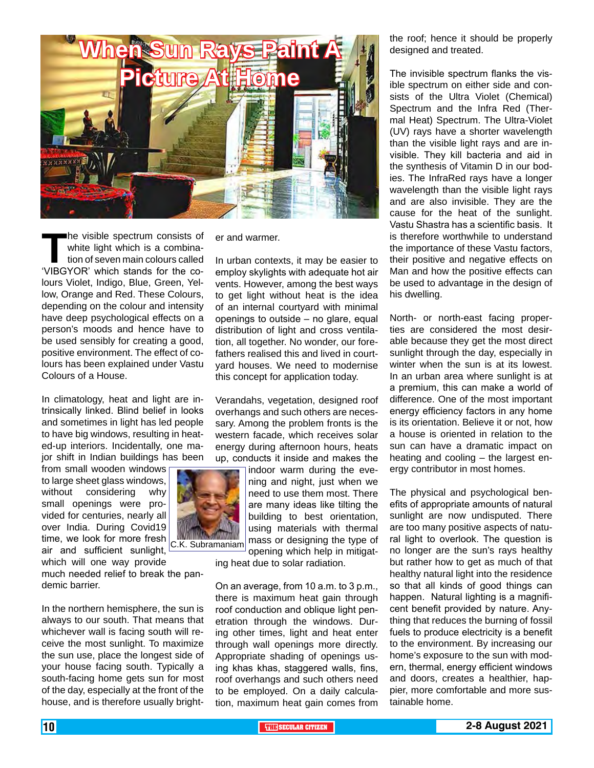

The visible spectrum consists of<br>
white light which is a combina-<br>
tion of seven main colours called<br>
'VIBGYOR' which stands for the cowhite light which is a combination of seven main colours called lours Violet, Indigo, Blue, Green, Yellow, Orange and Red. These Colours, depending on the colour and intensity have deep psychological effects on a person's moods and hence have to be used sensibly for creating a good, positive environment. The effect of colours has been explained under Vastu Colours of a House.

In climatology, heat and light are intrinsically linked. Blind belief in looks and sometimes in light has led people to have big windows, resulting in heated-up interiors. Incidentally, one major shift in Indian buildings has been

from small wooden windows to large sheet glass windows, without considering why small openings were provided for centuries, nearly all over India. During Covid19 time, we look for more fresh air and sufficient sunlight,

which will one way provide much needed relief to break the pandemic barrier.

In the northern hemisphere, the sun is always to our south. That means that whichever wall is facing south will receive the most sunlight. To maximize the sun use, place the longest side of your house facing south. Typically a south-facing home gets sun for most of the day, especially at the front of the house, and is therefore usually brighter and warmer.

In urban contexts, it may be easier to employ skylights with adequate hot air vents. However, among the best ways to get light without heat is the idea of an internal courtyard with minimal openings to outside – no glare, equal distribution of light and cross ventilation, all together. No wonder, our forefathers realised this and lived in courtyard houses. We need to modernise this concept for application today.

Verandahs, vegetation, designed roof overhangs and such others are necessary. Among the problem fronts is the western facade, which receives solar energy during afternoon hours, heats up, conducts it inside and makes the

> indoor warm during the evening and night, just when we need to use them most. There are many ideas like tilting the building to best orientation, using materials with thermal mass or designing the type of opening which help in mitigat-

ing heat due to solar radiation.

On an average, from 10 a.m. to 3 p.m., there is maximum heat gain through roof conduction and oblique light penetration through the windows. During other times, light and heat enter through wall openings more directly. Appropriate shading of openings using khas khas, staggered walls, fins, roof overhangs and such others need to be employed. On a daily calculation, maximum heat gain comes from the roof; hence it should be properly designed and treated.

The invisible spectrum flanks the visible spectrum on either side and consists of the Ultra Violet (Chemical) Spectrum and the Infra Red (Thermal Heat) Spectrum. The Ultra-Violet (UV) rays have a shorter wavelength than the visible light rays and are invisible. They kill bacteria and aid in the synthesis of Vitamin D in our bodies. The InfraRed rays have a longer wavelength than the visible light rays and are also invisible. They are the cause for the heat of the sunlight. Vastu Shastra has a scientific basis. It is therefore worthwhile to understand the importance of these Vastu factors, their positive and negative effects on Man and how the positive effects can be used to advantage in the design of his dwelling.

North- or north-east facing properties are considered the most desirable because they get the most direct sunlight through the day, especially in winter when the sun is at its lowest. In an urban area where sunlight is at a premium, this can make a world of difference. One of the most important energy efficiency factors in any home is its orientation. Believe it or not, how a house is oriented in relation to the sun can have a dramatic impact on heating and cooling – the largest energy contributor in most homes.

The physical and psychological benefits of appropriate amounts of natural sunlight are now undisputed. There are too many positive aspects of natural light to overlook. The question is no longer are the sun's rays healthy but rather how to get as much of that healthy natural light into the residence so that all kinds of good things can happen. Natural lighting is a magnificent benefit provided by nature. Anything that reduces the burning of fossil fuels to produce electricity is a benefit to the environment. By increasing our home's exposure to the sun with modern, thermal, energy efficient windows and doors, creates a healthier, happier, more comfortable and more sustainable home.

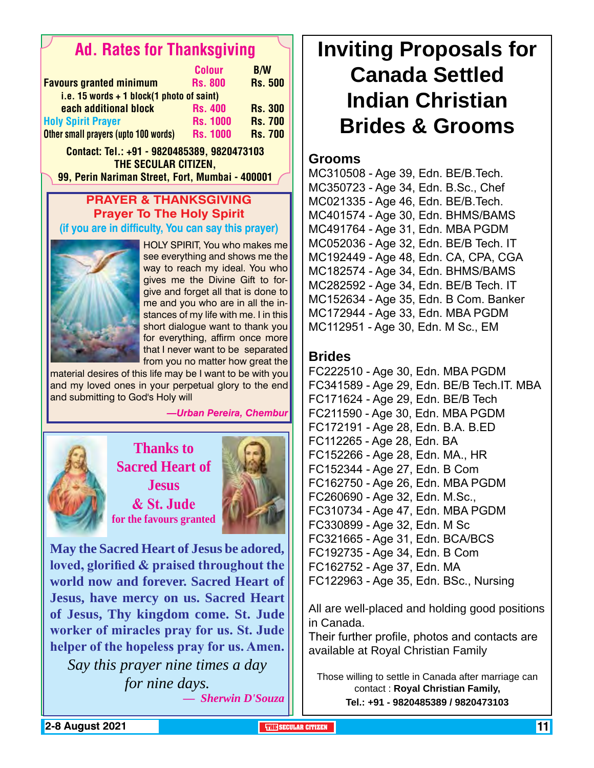### Ad. Rates for Thanksgiving

|                                             | <b>Colour</b>   | <b>B/W</b>     |
|---------------------------------------------|-----------------|----------------|
| <b>Favours granted minimum</b>              | <b>Rs. 800</b>  | <b>Rs. 500</b> |
| i.e. 15 words $+$ 1 block(1 photo of saint) |                 |                |
| each additional block                       | <b>Rs. 400</b>  | <b>Rs. 300</b> |
| <b>Holy Spirit Prayer</b>                   | <b>Rs. 1000</b> | <b>Rs. 700</b> |
| Other small prayers (upto 100 words)        | <b>Rs. 1000</b> | <b>Rs. 700</b> |

Contact: Tel.: +91 - 9820485389, 9820473103 The Secular Citizen,

99, Perin Nariman Street, Fort, Mumbai - 400001

#### **Prayer & Thanksgiving Prayer To The Holy Spirit (if you are in difficulty, You can say this prayer)**



HOLY SPIRIT, You who makes me see everything and shows me the way to reach my ideal. You who gives me the Divine Gift to forgive and forget all that is done to me and you who are in all the instances of my life with me. I in this short dialogue want to thank you for everything, affirm once more that I never want to be separated from you no matter how great the

material desires of this life may be I want to be with you and my loved ones in your perpetual glory to the end and submitting to God's Holy will

#### *—Urban Pereira, Chembur*



**Thanks to Sacred Heart of Jesus & St. Jude for the favours granted**



**May the Sacred Heart of Jesus be adored, loved, glorified & praised throughout the world now and forever. Sacred Heart of Jesus, have mercy on us. Sacred Heart of Jesus, Thy kingdom come. St. Jude worker of miracles pray for us. St. Jude helper of the hopeless pray for us. Amen.**

*Say this prayer nine times a day for nine days. — Sherwin D'Souza* **Inviting Proposals for Canada Settled Indian Christian Brides & Grooms**

#### **Grooms**

MC310508 - Age 39, Edn. BE/B.Tech. MC350723 - Age 34, Edn. B.Sc., Chef MC021335 - Age 46, Edn. BE/B.Tech. MC401574 - Age 30, Edn. BHMS/BAMS MC491764 - Age 31, Edn. MBA PGDM MC052036 - Age 32, Edn. BE/B Tech. IT MC192449 - Age 48, Edn. CA, CPA, CGA MC182574 - Age 34, Edn. BHMS/BAMS MC282592 - Age 34, Edn. BE/B Tech. IT MC152634 - Age 35, Edn. B Com. Banker MC172944 - Age 33, Edn. MBA PGDM MC112951 - Age 30, Edn. M Sc., EM

#### **Brides**

FC222510 - Age 30, Edn. MBA PGDM FC341589 - Age 29, Edn. BE/B Tech.IT. MBA FC171624 - Age 29, Edn. BE/B Tech FC211590 - Age 30, Edn. MBA PGDM FC172191 - Age 28, Edn. B.A. B.ED FC112265 - Age 28, Edn. BA FC152266 - Age 28, Edn. MA., HR FC152344 - Age 27, Edn. B Com FC162750 - Age 26, Edn. MBA PGDM FC260690 - Age 32, Edn. M.Sc., FC310734 - Age 47, Edn. MBA PGDM FC330899 - Age 32, Edn. M Sc FC321665 - Age 31, Edn. BCA/BCS FC192735 - Age 34, Edn. B Com FC162752 - Age 37, Edn. MA FC122963 - Age 35, Edn. BSc., Nursing

All are well-placed and holding good positions in Canada.

Their further profile, photos and contacts are available at Royal Christian Family

Those willing to settle in Canada after marriage can contact : **Royal Christian Family, Tel.: +91 - 9820485389 / 9820473103**

**2-8 August 2021 THE SECULAR CITIZEN** 11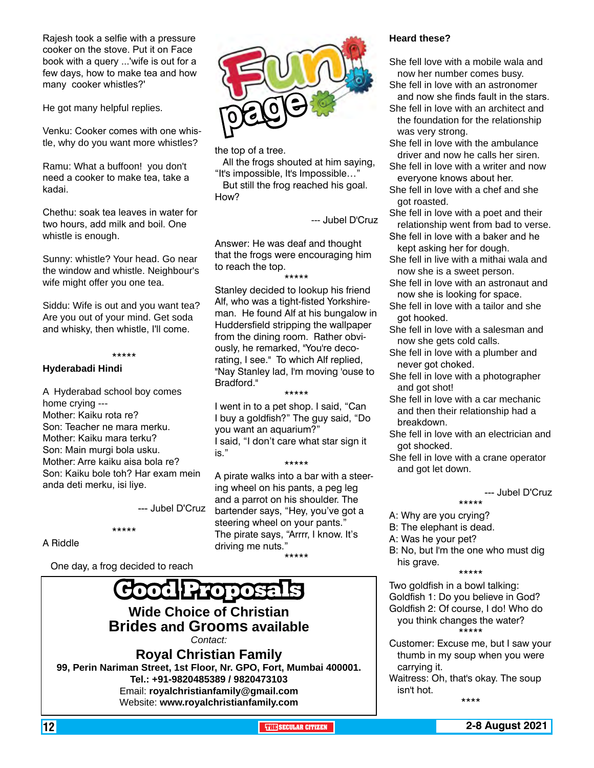Rajesh took a selfie with a pressure cooker on the stove. Put it on Face book with a query ...'wife is out for a few days, how to make tea and how many cooker whistles?'

He got many helpful replies.

Venku: Cooker comes with one whistle, why do you want more whistles?

Ramu: What a buffoon! you don't need a cooker to make tea, take a kadai.

Chethu: soak tea leaves in water for two hours, add milk and boil. One whistle is enough.

Sunny: whistle? Your head. Go near the window and whistle. Neighbour's wife might offer you one tea.

Siddu: Wife is out and you want tea? Are you out of your mind. Get soda and whisky, then whistle, I'll come.

\*\*\*\*\*

#### **Hyderabadi Hindi**

A Hyderabad school boy comes home crying --- Mother: Kaiku rota re? Son: Teacher ne mara merku. Mother: Kaiku mara terku? Son: Main murgi bola usku. Mother: Arre kaiku aisa bola re? Son: Kaiku bole toh? Har exam mein anda deti merku, isi liye.

--- Jubel D'Cruz

A Riddle

One day, a frog decided to reach

\*\*\*\*\*



#### **Wide Choice of Christian Brides and Grooms available** *Contact:*

**Royal Christian Family 99, Perin Nariman Street, 1st Floor, Nr. GPO, Fort, Mumbai 400001. Tel.: +91-9820485389 / 9820473103** Email: **royalchristianfamily@gmail.com** Website: **www.royalchristianfamily.com**



the top of a tree.

 All the frogs shouted at him saying, "It's impossible, It's Impossible…"

 But still the frog reached his goal. How?

--- Jubel D'Cruz

Answer: He was deaf and thought that the frogs were encouraging him to reach the top.

\*\*\*\*\* Stanley decided to lookup his friend Alf, who was a tight-fisted Yorkshireman. He found Alf at his bungalow in Huddersfield stripping the wallpaper from the dining room. Rather obviously, he remarked, "You're decorating, I see." To which Alf replied, "Nay Stanley lad, I'm moving 'ouse to Bradford<sup>"</sup>

I went in to a pet shop. I said, "Can I buy a goldfish?" The guy said, "Do you want an aquarium?" I said, "I don't care what star sign it is." \*\*\*\*\*

\*\*\*\*\*

A pirate walks into a bar with a steering wheel on his pants, a peg leg and a parrot on his shoulder. The bartender says, "Hey, you've got a steering wheel on your pants." The pirate says, "Arrrr, I know. It's driving me nuts."

\*\*\*\*\*

#### **Heard these?**

- She fell love with a mobile wala and now her number comes busy.
- She fell in love with an astronomer and now she finds fault in the stars.
- She fell in love with an architect and the foundation for the relationship was very strong.
- She fell in love with the ambulance driver and now he calls her siren.
- She fell in love with a writer and now everyone knows about her.
- She fell in love with a chef and she got roasted.
- She fell in love with a poet and their relationship went from bad to verse.
- She fell in love with a baker and he kept asking her for dough.
- She fell in live with a mithai wala and now she is a sweet person.
- She fell in love with an astronaut and now she is looking for space.
- She fell in love with a tailor and she got hooked.
- She fell in love with a salesman and now she gets cold calls.
- She fell in love with a plumber and never got choked.
- She fell in love with a photographer and got shot!
- She fell in love with a car mechanic and then their relationship had a breakdown.
- She fell in love with an electrician and got shocked.
- She fell in love with a crane operator and got let down.

--- Jubel D'Cruz

- \*\*\*\*\* A: Why are you crying?
- B: The elephant is dead.
- A: Was he your pet?
- B: No, but I'm the one who must dig his grave.

\*\*\*\*\*

Two goldfish in a bowl talking: Goldfish 1: Do you believe in God? Goldfish 2: Of course, I do! Who do you think changes the water? \*\*\*\*\*

- Customer: Excuse me, but I saw your thumb in my soup when you were carrying it.
- Waitress: Oh, that's okay. The soup isn't hot.

\*\*\*\*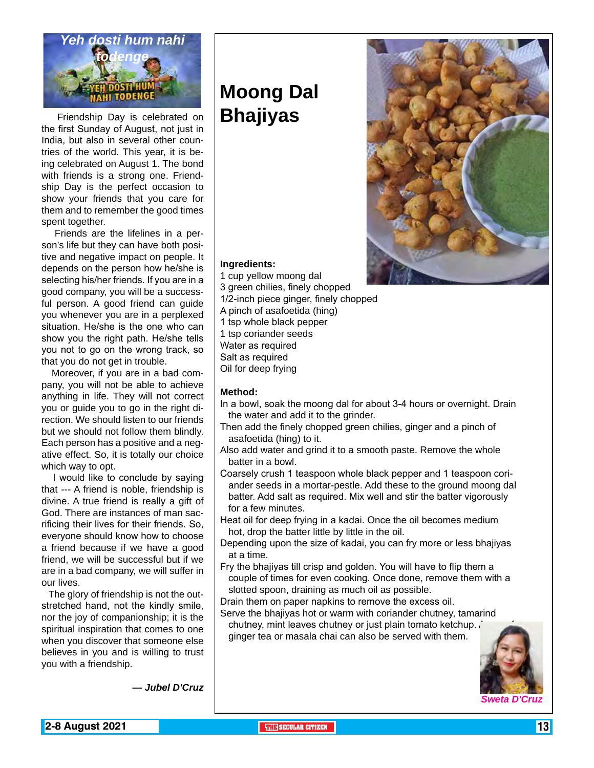

Friendship Day is celebrated on **Bhajiyas** the first Sunday of August, not just in India, but also in several other countries of the world. This year, it is being celebrated on August 1. The bond with friends is a strong one. Friendship Day is the perfect occasion to show your friends that you care for them and to remember the good times spent together.

 Friends are the lifelines in a person's life but they can have both positive and negative impact on people. It depends on the person how he/she is selecting his/her friends. If you are in a good company, you will be a successful person. A good friend can guide you whenever you are in a perplexed situation. He/she is the one who can show you the right path. He/she tells you not to go on the wrong track, so that you do not get in trouble.

 Moreover, if you are in a bad company, you will not be able to achieve anything in life. They will not correct you or guide you to go in the right direction. We should listen to our friends but we should not follow them blindly. Each person has a positive and a negative effect. So, it is totally our choice which way to opt.

 I would like to conclude by saying that --- A friend is noble, friendship is divine. A true friend is really a gift of God. There are instances of man sacrificing their lives for their friends. So, everyone should know how to choose a friend because if we have a good friend, we will be successful but if we are in a bad company, we will suffer in our lives.

 The glory of friendship is not the outstretched hand, not the kindly smile, nor the joy of companionship; it is the spiritual inspiration that comes to one when you discover that someone else believes in you and is willing to trust you with a friendship.

# **Moong Dal**



#### **Ingredients:**

1 cup yellow moong dal 3 green chilies, finely chopped 1/2-inch piece ginger, finely chopped A pinch of asafoetida (hing) 1 tsp whole black pepper 1 tsp coriander seeds Water as required Salt as required Oil for deep frying

#### **Method:**

- In a bowl, soak the moong dal for about 3-4 hours or overnight. Drain the water and add it to the grinder.
- Then add the finely chopped green chilies, ginger and a pinch of asafoetida (hing) to it.
- Also add water and grind it to a smooth paste. Remove the whole batter in a bowl.
- Coarsely crush 1 teaspoon whole black pepper and 1 teaspoon coriander seeds in a mortar-pestle. Add these to the ground moong dal batter. Add salt as required. Mix well and stir the batter vigorously for a few minutes.
- Heat oil for deep frying in a kadai. Once the oil becomes medium hot, drop the batter little by little in the oil.
- Depending upon the size of kadai, you can fry more or less bhajiyas at a time.
- Fry the bhajiyas till crisp and golden. You will have to flip them a couple of times for even cooking. Once done, remove them with a slotted spoon, draining as much oil as possible.
- Drain them on paper napkins to remove the excess oil.
- Serve the bhajiyas hot or warm with coriander chutney, tamarind chutney, mint leaves chutney or just plain tomato ketchup.
- ginger tea or masala chai can also be served with them.



*— Jubel D'Cruz*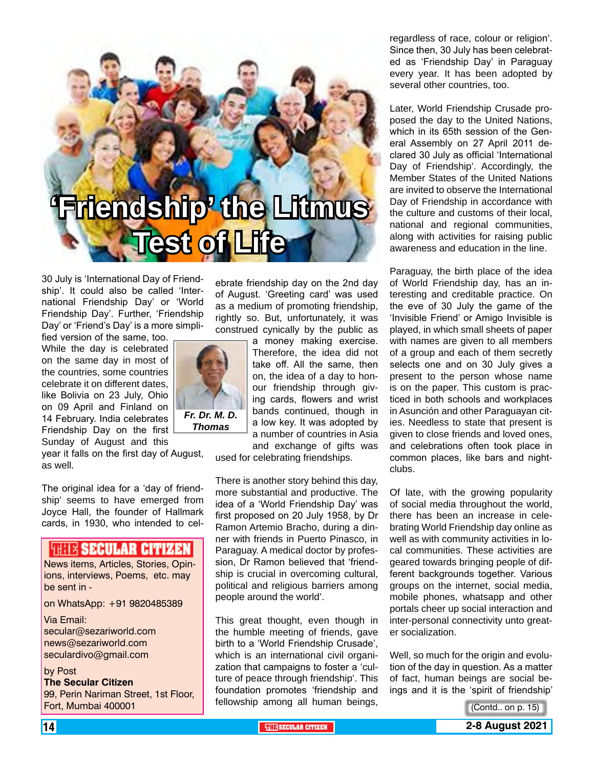# **'Friendship' the Litmus Test of Life**

30 July is 'International Day of Friendship'. It could also be called 'International Friendship Day' or 'World Friendship Day'. Further, 'Friendship Day' or 'Friend's Day' is a more simpli-

fied version of the same, too. While the day is celebrated on the same day in most of the countries, some countries celebrate it on different dates, like Bolivia on 23 July, Ohio on 09 April and Finland on 14 February. India celebrates Friendship Day on the first Sunday of August and this

year it falls on the first day of August, as well.

The original idea for a 'day of friendship' seems to have emerged from Joyce Hall, the founder of Hallmark cards, in 1930, who intended to cel-

#### **ISBN SECULAR CITIZEN**

News items, Articles, Stories, Opinions, interviews, Poems, etc. may be sent in -

on WhatsApp: +91 9820485389

Via Email:

secular@sezariworld.com news@sezariworld.com seculardivo@gmail.com

#### by Post

**The Secular Citizen** 99, Perin Nariman Street, 1st Floor, Fort, Mumbai 400001

ebrate friendship day on the 2nd day of August. 'Greeting card' was used as a medium of promoting friendship, rightly so. But, unfortunately, it was construed cynically by the public as

a money making exercise. Therefore, the idea did not take off. All the same, then on, the idea of a day to honour friendship through giving cards, flowers and wrist bands continued, though in a low key. It was adopted by a number of countries in Asia and exchange of gifts was

used for celebrating friendships.

There is another story behind this day, more substantial and productive. The idea of a 'World Friendship Day' was first proposed on 20 July 1958, by Dr Ramon Artemio Bracho, during a dinner with friends in Puerto Pinasco, in Paraguay. A medical doctor by profession, Dr Ramon believed that 'friendship is crucial in overcoming cultural, political and religious barriers among people around the world'.

This great thought, even though in the humble meeting of friends, gave birth to a 'World Friendship Crusade', which is an international civil organization that campaigns to foster a 'culture of peace through friendship'. This foundation promotes 'friendship and fellowship among all human beings, regardless of race, colour or religion'. Since then, 30 July has been celebrated as 'Friendship Day' in Paraguay every year. It has been adopted by several other countries, too.

Later, World Friendship Crusade proposed the day to the United Nations, which in its 65th session of the General Assembly on 27 April 2011 declared 30 July as official 'International Day of Friendship'. Accordingly, the Member States of the United Nations are invited to observe the International Day of Friendship in accordance with the culture and customs of their local, national and regional communities, along with activities for raising public awareness and education in the line.

Paraguay, the birth place of the idea of World Friendship day, has an interesting and creditable practice. On the eve of 30 July the game of the 'Invisible Friend' or Amigo Invisible is played, in which small sheets of paper with names are given to all members of a group and each of them secretly selects one and on 30 July gives a present to the person whose name is on the paper. This custom is practiced in both schools and workplaces in Asunción and other Paraguayan cities. Needless to state that present is given to close friends and loved ones, and celebrations often took place in common places, like bars and nightclubs.

Of late, with the growing popularity of social media throughout the world, there has been an increase in celebrating World Friendship day online as well as with community activities in local communities. These activities are geared towards bringing people of different backgrounds together. Various groups on the internet, social media, mobile phones, whatsapp and other portals cheer up social interaction and inter-personal connectivity unto greater socialization.

Well, so much for the origin and evolution of the day in question. As a matter of fact, human beings are social beings and it is the 'spirit of friendship'

(Contd.. on p. 15)



**14** THE RESERVE AND THE RESERVE ASSESSED AND THE SECULAR CITIZEN **THE SECULAR CITIZEN 2-8 August 2021** 

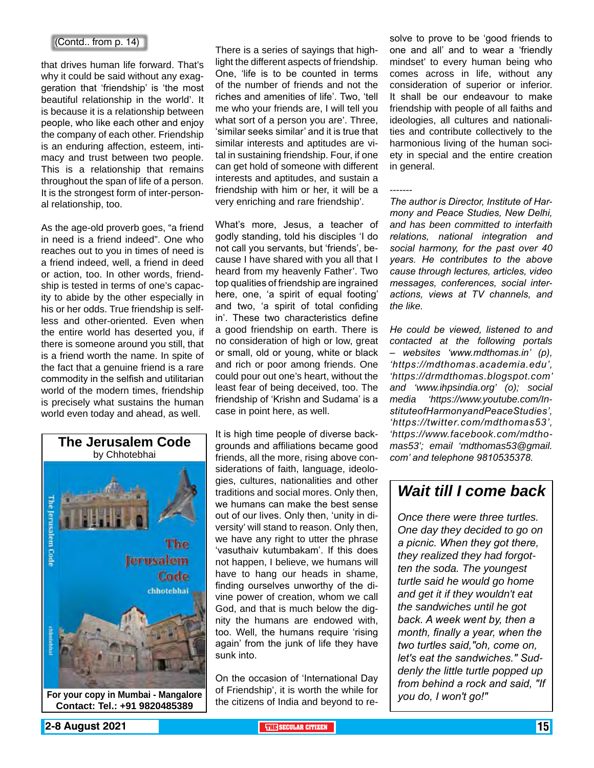that drives human life forward. That's why it could be said without any exaggeration that 'friendship' is 'the most beautiful relationship in the world'. It is because it is a relationship between people, who like each other and enjoy the company of each other. Friendship is an enduring affection, esteem, intimacy and trust between two people. This is a relationship that remains throughout the span of life of a person. It is the strongest form of inter-personal relationship, too.

As the age-old proverb goes, "a friend in need is a friend indeed". One who reaches out to you in times of need is a friend indeed, well, a friend in deed or action, too. In other words, friendship is tested in terms of one's capacity to abide by the other especially in his or her odds. True friendship is selfless and other-oriented. Even when the entire world has deserted you, if there is someone around you still, that is a friend worth the name. In spite of the fact that a genuine friend is a rare commodity in the selfish and utilitarian world of the modern times, friendship is precisely what sustains the human world even today and ahead, as well.



**Contact: Tel.: +91 9820485389**

There is a series of sayings that highlight the different aspects of friendship. One, 'life is to be counted in terms of the number of friends and not the riches and amenities of life'. Two, 'tell me who your friends are, I will tell you what sort of a person you are'. Three, 'similar seeks similar' and it is true that similar interests and aptitudes are vital in sustaining friendship. Four, if one can get hold of someone with different interests and aptitudes, and sustain a friendship with him or her, it will be a very enriching and rare friendship'.

What's more, Jesus, a teacher of godly standing, told his disciples 'I do not call you servants, but 'friends', because I have shared with you all that I heard from my heavenly Father'. Two top qualities of friendship are ingrained here, one, 'a spirit of equal footing' and two, 'a spirit of total confiding in'. These two characteristics define a good friendship on earth. There is no consideration of high or low, great or small, old or young, white or black and rich or poor among friends. One could pour out one's heart, without the least fear of being deceived, too. The friendship of 'Krishn and Sudama' is a case in point here, as well.

It is high time people of diverse backgrounds and affiliations became good friends, all the more, rising above considerations of faith, language, ideologies, cultures, nationalities and other traditions and social mores. Only then, we humans can make the best sense out of our lives. Only then, 'unity in diversity' will stand to reason. Only then, we have any right to utter the phrase 'vasuthaiv kutumbakam'. If this does not happen, I believe, we humans will have to hang our heads in shame, finding ourselves unworthy of the divine power of creation, whom we call God, and that is much below the dignity the humans are endowed with, too. Well, the humans require 'rising again' from the junk of life they have sunk into.

On the occasion of 'International Day of Friendship', it is worth the while for the citizens of India and beyond to re-

(Contd.. from p. 14)  $\blacksquare$ one and all' and to wear a 'friendly mindset' to every human being who comes across in life, without any consideration of superior or inferior. It shall be our endeavour to make friendship with people of all faiths and ideologies, all cultures and nationalities and contribute collectively to the harmonious living of the human society in special and the entire creation in general.

-------

*The author is Director, Institute of Harmony and Peace Studies, New Delhi, and has been committed to interfaith relations, national integration and social harmony, for the past over 40 years. He contributes to the above cause through lectures, articles, video messages, conferences, social interactions, views at TV channels, and the like.* 

*He could be viewed, listened to and contacted at the following portals – websites 'www.mdthomas.in' (p), 'https://mdthomas.academia.edu', 'https://drmdthomas.blogspot.com' and 'www.ihpsindia.org' (o); social media 'https://www.youtube.com/InstituteofHarmonyandPeaceStudies', 'https://twitter.com/mdthomas53', 'https://www.facebook.com/mdthomas53'; email 'mdthomas53@gmail. com' and telephone 9810535378.* 

#### *Wait till I come back*

*Once there were three turtles. One day they decided to go on a picnic. When they got there, they realized they had forgotten the soda. The youngest turtle said he would go home and get it if they wouldn't eat the sandwiches until he got back. A week went by, then a month, finally a year, when the two turtles said,"oh, come on, let's eat the sandwiches." Suddenly the little turtle popped up from behind a rock and said, "If you do, I won't go!"*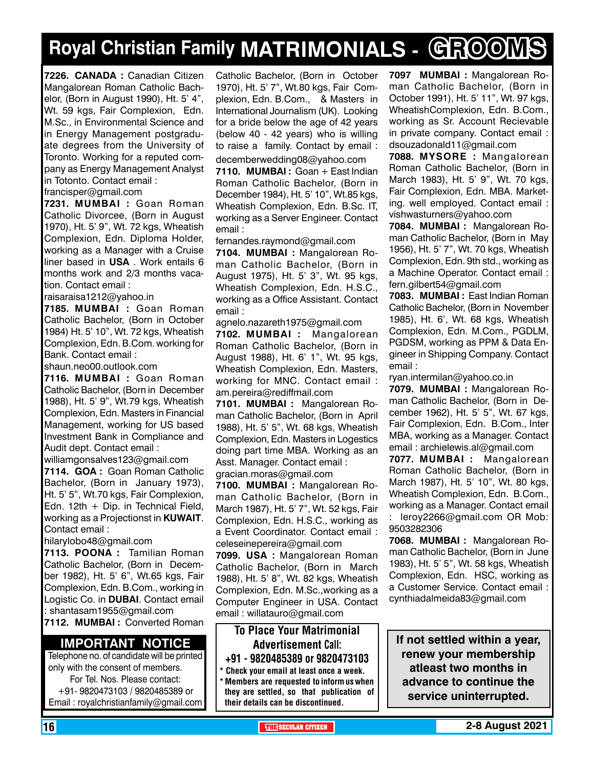# **Royal Christian Family MATRIMONIALS - GROOMS**

**7226. CANADA :** Canadian Citizen Mangalorean Roman Catholic Bachelor, (Born in August 1990), Ht. 5' 4", Wt. 59 kgs, Fair Complexion, Edn. M.Sc., in Environmental Science and in Energy Management postgraduate degrees from the University of Toronto. Working for a reputed company as Energy Management Analyst in Totonto. Contact email :

francisper@gmail.com

**7231. MUMBAI :** Goan Roman Catholic Divorcee, (Born in August 1970), Ht. 5' 9", Wt. 72 kgs, Wheatish Complexion, Edn. Diploma Holder, working as a Manager with a Cruise liner based in **USA** . Work entails 6 months work and 2/3 months vacation. Contact email :

raisaraisa1212@yahoo.in

**7185. MUMBAI :** Goan Roman Catholic Bachelor, (Born in October 1984) Ht. 5' 10", Wt. 72 kgs, Wheatish Complexion, Edn. B.Com. working for Bank. Contact email :

shaun.neo00.outlook.com

**7116. MUMBAI :** Goan Roman Catholic Bachelor, (Born in December 1988), Ht. 5' 9", Wt.79 kgs, Wheatish Complexion, Edn. Masters in Financial Management, working for US based Investment Bank in Compliance and Audit dept. Contact email :

williamgonsalves123@gmail.com **7114. GOA :** Goan Roman Catholic Bachelor, (Born in January 1973), Ht. 5' 5", Wt.70 kgs, Fair Complexion, Edn. 12th  $+$  Dip. in Technical Field, working as a Projectionst in **KUWAIT**.

Contact email :

hilarylobo48@gmail.com

**7113. POONA :** Tamilian Roman Catholic Bachelor, (Born in December 1982), Ht. 5' 6", Wt.65 kgs, Fair Complexion, Edn. B.Com., working in Logistic Co. in **DUBAI**. Contact email : shantasam1955@gmail.com

**7112. MUMBAI :** Converted Roman

#### **Important Notice**

Telephone no. of candidate will be printed only with the consent of members. For Tel. Nos. Please contact: +91- 9820473103 / 9820485389 or Email : royalchristianfamily@gmail.com

Catholic Bachelor, (Born in October 1970), Ht. 5' 7", Wt.80 kgs, Fair Complexion, Edn. B.Com., & Masters in International Journalism (UK). Looking for a bride below the age of 42 years (below 40 - 42 years) who is willing to raise a family. Contact by email : decemberwedding08@yahoo.com

**7110. MUMBAI :** Goan + East Indian Roman Catholic Bachelor, (Born in December 1984), Ht. 5' 10", Wt.85 kgs, Wheatish Complexion, Edn. B.Sc. IT, working as a Server Engineer. Contact email :

fernandes.raymond@gmail.com **7104. MUMBAI :** Mangalorean Roman Catholic Bachelor, (Born in August 1975), Ht. 5' 3", Wt. 95 kgs, Wheatish Complexion, Edn. H.S.C., working as a Office Assistant. Contact email :

agnelo.nazareth1975@gmail.com

**7102. MUMBAI :** Mangalorean Roman Catholic Bachelor, (Born in August 1988), Ht. 6' 1", Wt. 95 kgs, Wheatish Complexion, Edn. Masters, working for MNC. Contact email : am.pereira@rediffmail.com

**7101. MUMBAI :** Mangalorean Roman Catholic Bachelor, (Born in April 1988), Ht. 5' 5", Wt. 68 kgs, Wheatish Complexion, Edn. Masters in Logestics doing part time MBA. Working as an Asst. Manager. Contact email : gracian.moras@gmail.com

**7100. MUMBAI :** Mangalorean Roman Catholic Bachelor, (Born in March 1987), Ht. 5' 7", Wt. 52 kgs, Fair Complexion, Edn. H.S.C., working as a Event Coordinator. Contact email : celeseinepereira@gmail.com

**7099. USA :** Mangalorean Roman Catholic Bachelor, (Born in March 1988), Ht. 5' 8", Wt. 82 kgs, Wheatish Complexion, Edn. M.Sc.,working as a Computer Engineer in USA. Contact email : willatauro@gmail.com

#### To Place Your Matrimonial Advertisement Call: +91 - 9820485389 or 9820473103

- \* Check your email at least once a week.
- Members are requested to inform us when they are settled, so that publication of their details can be discontinued.

**7097 MUMBAI :** Mangalorean Roman Catholic Bachelor, (Born in October 1991), Ht. 5' 11", Wt. 97 kgs, WheatishComplexion, Edn. B.Com., working as Sr. Account Recievable in private company. Contact email : dsouzadonald11@gmail.com

**7088. MYSORE :** Mangalorean Roman Catholic Bachelor, (Born in March 1983), Ht. 5' 9", Wt. 70 kgs, Fair Complexion, Edn. MBA. Marketing. well employed. Contact email : vishwasturners@yahoo.com

**7084. MUMBAI :** Mangalorean Roman Catholic Bachelor, (Born in May 1956), Ht. 5' 7", Wt. 70 kgs, Wheatish Complexion, Edn. 9th std., working as a Machine Operator. Contact email : fern.gilbert54@gmail.com

**7083. MUMBAI :** East Indian Roman Catholic Bachelor, (Born in November 1985), Ht. 6', Wt. 68 kgs, Wheatish Complexion, Edn. M.Com., PGDLM, PGDSM, working as PPM & Data Engineer in Shipping Company. Contact email :

ryan.intermilan@yahoo.co.in

**7079. MUMBAI :** Mangalorean Roman Catholic Bachelor, (Born in December 1962), Ht. 5' 5", Wt. 67 kgs, Fair Complexion, Edn. B.Com., Inter MBA, working as a Manager. Contact email : archielewis.al@gmail.com

**7077. MUMBAI :** Mangalorean Roman Catholic Bachelor, (Born in March 1987), Ht. 5' 10", Wt. 80 kgs, Wheatish Complexion, Edn. B.Com., working as a Manager. Contact email : leroy2266@gmail.com OR Mob: 9503282306

**7068. MUMBAI :** Mangalorean Roman Catholic Bachelor, (Born in June 1983), Ht. 5' 5", Wt. 58 kgs, Wheatish Complexion, Edn. HSC, working as a Customer Service. Contact email : cynthiadalmeida83@gmail.com

**If not settled within a year, renew your membership atleast two months in advance to continue the service uninterrupted.**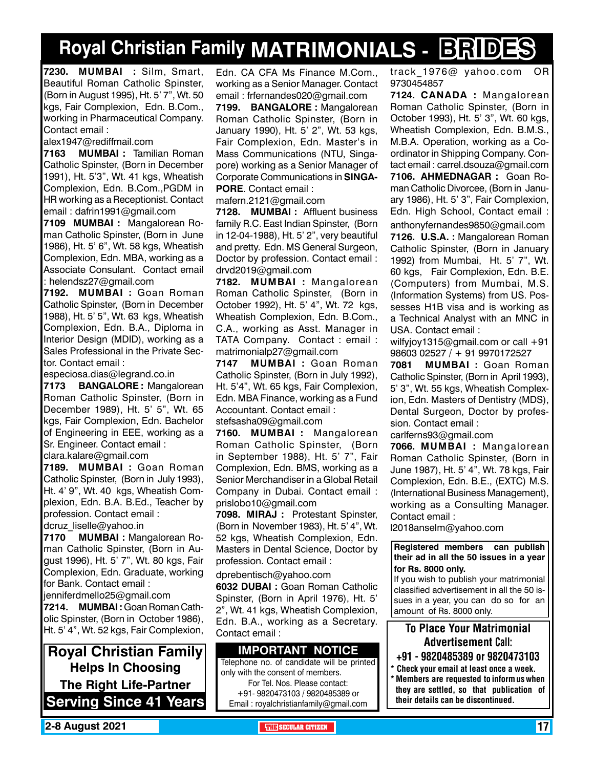# **Royal Christian Family MATRIMONIALS - BRIDES**

**7230. MUMBAI :** Silm, Smart, Beautiful Roman Catholic Spinster, (Born in August 1995), Ht. 5' 7", Wt. 50 kgs, Fair Complexion, Edn. B.Com., working in Pharmaceutical Company. Contact email :

alex1947@rediffmail.com

**7163 MUMBAI :** Tamilian Roman Catholic Spinster, (Born in December 1991), Ht. 5'3", Wt. 41 kgs, Wheatish Complexion, Edn. B.Com.,PGDM in HR working as a Receptionist. Contact email : dafrin1991@gmail.com

**7109 MUMBAI :** Mangalorean Roman Catholic Spinster, (Born in June 1986), Ht. 5' 6", Wt. 58 kgs, Wheatish Complexion, Edn. MBA, working as a Associate Consulant. Contact email : helendsz27@gmail.com

**7192. MUMBAI :** Goan Roman Catholic Spinster, (Born in December 1988), Ht. 5' 5", Wt. 63 kgs, Wheatish Complexion, Edn. B.A., Diploma in Interior Design (MDID), working as a Sales Professional in the Private Sector. Contact email :

especiosa.dias@legrand.co.in

**7173 BANGALORE :** Mangalorean Roman Catholic Spinster, (Born in December 1989), Ht. 5' 5", Wt. 65 kgs, Fair Complexion, Edn. Bachelor of Engineering in EEE, working as a Sr. Engineer. Contact email :

clara.kalare@gmail.com

**7189. MUMBAI :** Goan Roman Catholic Spinster, (Born in July 1993), Ht. 4' 9", Wt. 40 kgs, Wheatish Complexion, Edn. B.A. B.Ed., Teacher by profession. Contact email :

dcruz\_liselle@yahoo.in

**7170 MUMBAI :** Mangalorean Roman Catholic Spinster, (Born in August 1996), Ht. 5' 7", Wt. 80 kgs, Fair Complexion, Edn. Graduate, working for Bank. Contact email :

jenniferdmello25@gmail.com **7214. MUMBAI :** Goan Roman Catholic Spinster, (Born in October 1986), Ht. 5' 4", Wt. 52 kgs, Fair Complexion,

**Royal Christian Family Helps In Choosing The Right Life-Partner Serving Since 41 Years** Edn. CA CFA Ms Finance M.Com., working as a Senior Manager. Contact email : frfernandes020@gmail.com

**7199. BANGALORE :** Mangalorean Roman Catholic Spinster, (Born in January 1990), Ht. 5' 2", Wt. 53 kgs, Fair Complexion, Edn. Master's in Mass Communications (NTU, Singapore) working as a Senior Manager of Corporate Communications in **SINGA-PORE**. Contact email :

mafern.2121@gmail.com

**7128. MUMBAI :** Affluent business family R.C. East Indian Spinster, (Born in 12-04-1988), Ht. 5' 2", very beautiful and pretty. Edn. MS General Surgeon, Doctor by profession. Contact email : drvd2019@gmail.com

**7182. MUMBAI :** Mangalorean Roman Catholic Spinster, (Born in October 1992), Ht. 5' 4", Wt. 72 kgs, Wheatish Complexion, Edn. B.Com., C.A., working as Asst. Manager in TATA Company. Contact : email : matrimonialp27@gmail.com

**7147 MUMBAI :** Goan Roman Catholic Spinster, (Born in July 1992), Ht. 5'4", Wt. 65 kgs, Fair Complexion, Edn. MBA Finance, working as a Fund Accountant. Contact email :

stefsasha09@gmail.com

**7160. MUMBAI :** Mangalorean Roman Catholic Spinster, (Born in September 1988), Ht. 5' 7", Fair Complexion, Edn. BMS, working as a Senior Merchandiser in a Global Retail Company in Dubai. Contact email : prislobo10@gmail.com

**7098. M IRAJ :** Protestant Spinster, (Born in November 1983), Ht. 5' 4", Wt. 52 kgs, Wheatish Complexion, Edn. Masters in Dental Science, Doctor by profession. Contact email :

dprebentisch@yahoo.com

**6032 DUBAI :** Goan Roman Catholic Spinster, (Born in April 1976), Ht. 5' 2", Wt. 41 kgs, Wheatish Complexion, Edn. B.A., working as a Secretary. Contact email :

#### **Important Notice**

Telephone no. of candidate will be printed only with the consent of members. For Tel. Nos. Please contact: +91- 9820473103 / 9820485389 or Email : royalchristianfamily@gmail.com

track\_1976@ yahoo.com OR 9730454857

**7124. CANADA :** Mangalorean Roman Catholic Spinster, (Born in October 1993), Ht. 5' 3", Wt. 60 kgs, Wheatish Complexion, Edn. B.M.S., M.B.A. Operation, working as a Coordinator in Shipping Company. Contact email : carrel.dsouza@gmail.com **7106. Ahmednagar :** Goan Roman Catholic Divorcee, (Born in January 1986), Ht. 5' 3", Fair Complexion, Edn. High School, Contact email :

anthonyfernandes9850@gmail.com **7126. U.S.A. :** Mangalorean Roman Catholic Spinster, (Born in January 1992) from Mumbai, Ht. 5' 7", Wt. 60 kgs, Fair Complexion, Edn. B.E. (Computers) from Mumbai, M.S. (Information Systems) from US. Possesses H1B visa and is working as a Technical Analyst with an MNC in USA. Contact email :

wilfyjoy1315@gmail.com or call +91 98603 02527 / + 91 9970172527

**7081 MUMBAI :** Goan Roman Catholic Spinster, (Born in April 1993), 5' 3", Wt. 55 kgs, Wheatish Complexion, Edn. Masters of Dentistry (MDS), Dental Surgeon, Doctor by profession. Contact email :

carlferns93@gmail.com

**7066. MUMBAI :** Mangalorean Roman Catholic Spinster, (Born in June 1987), Ht. 5' 4", Wt. 78 kgs, Fair Complexion, Edn. B.E., (EXTC) M.S. (International Business Management), working as a Consulting Manager. Contact email :

l2018anselm@yahoo.com

**Registered members can publish their ad in all the 50 issues in a year for Rs. 8000 only.**

If you wish to publish your matrimonial classified advertisement in all the 50 issues in a year, you can do so for an amount of Rs. 8000 only.

To Place Your Matrimonial Advertisement Call:

- +91 9820485389 or 9820473103
- Check your email at least once a week. \* Members are requested to inform us when they are settled, so that publication of their details can be discontinued.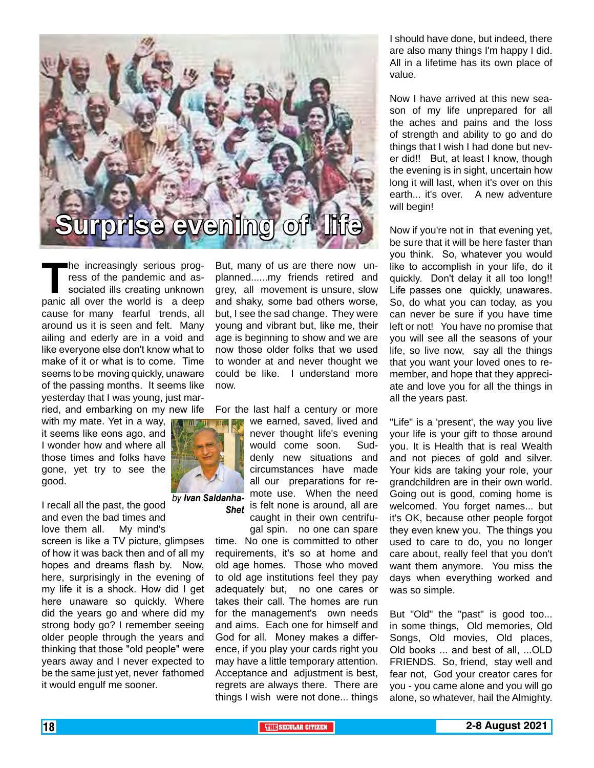

The increasingly serious progress of the pandemic and associated ills creating unknown<br>panic all over the world is a deep ress of the pandemic and associated ills creating unknown panic all over the world is a deep cause for many fearful trends, all around us it is seen and felt. Many ailing and ederly are in a void and like everyone else don't know what to make of it or what is to come. Time seems to be moving quickly, unaware of the passing months. It seems like yesterday that I was young, just married, and embarking on my new life

with my mate. Yet in a way, it seems like eons ago, and I wonder how and where all those times and folks have gone, yet try to see the good.

I recall all the past, the good and even the bad times and love them all. My mind's screen is like a TV picture, glimpses of how it was back then and of all my hopes and dreams flash by. Now, here, surprisingly in the evening of my life it is a shock. How did I get here unaware so quickly. Where did the years go and where did my strong body go? I remember seeing older people through the years and thinking that those "old people" were years away and I never expected to be the same just yet, never fathomed it would engulf me sooner. *by Ivan Saldanha-*

But, many of us are there now unplanned......my friends retired and grey, all movement is unsure, slow and shaky, some bad others worse, but, I see the sad change. They were young and vibrant but, like me, their age is beginning to show and we are now those older folks that we used to wonder at and never thought we could be like. I understand more now.

For the last half a century or more

we earned, saved, lived and never thought life's evening would come soon. Suddenly new situations and circumstances have made all our preparations for remote use. When the need **Shet** is felt none is around, all are

caught in their own centrifugal spin. no one can spare

time. No one is committed to other requirements, it's so at home and old age homes. Those who moved to old age institutions feel they pay adequately but, no one cares or takes their call. The homes are run for the management's own needs and aims. Each one for himself and God for all. Money makes a difference, if you play your cards right you may have a little temporary attention. Acceptance and adjustment is best, regrets are always there. There are things I wish were not done... things

I should have done, but indeed, there are also many things I'm happy I did. All in a lifetime has its own place of value.

Now I have arrived at this new season of my life unprepared for all the aches and pains and the loss of strength and ability to go and do things that I wish I had done but never did!! But, at least I know, though the evening is in sight, uncertain how long it will last, when it's over on this earth... it's over. A new adventure will begin!

Now if you're not in that evening yet, be sure that it will be here faster than you think. So, whatever you would like to accomplish in your life, do it quickly. Don't delay it all too long!! Life passes one quickly, unawares. So, do what you can today, as you can never be sure if you have time left or not! You have no promise that you will see all the seasons of your life, so live now, say all the things that you want your loved ones to remember, and hope that they appreciate and love you for all the things in all the years past.

"Life" is a 'present', the way you live your life is your gift to those around you. It is Health that is real Wealth and not pieces of gold and silver. Your kids are taking your role, your grandchildren are in their own world. Going out is good, coming home is welcomed. You forget names... but it's OK, because other people forgot they even knew you. The things you used to care to do, you no longer care about, really feel that you don't want them anymore. You miss the days when everything worked and was so simple.

But "Old" the "past" is good too... in some things, Old memories, Old Songs, Old movies, Old places, Old books ... and best of all, ...OLD FRIENDS. So, friend, stay well and fear not, God your creator cares for you - you came alone and you will go alone, so whatever, hail the Almighty.

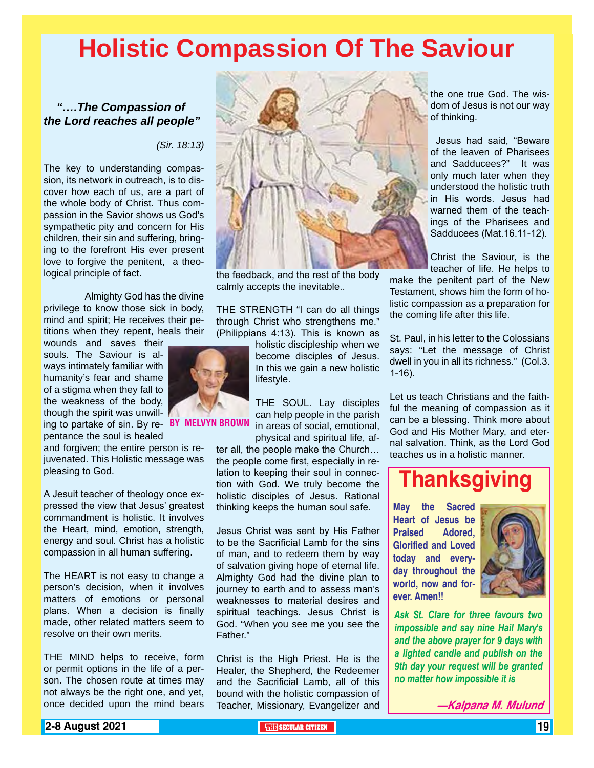# **Holistic Compassion Of The Saviour**

#### *"….The Compassion of the Lord reaches all people"*

*(Sir. 18:13)*

The key to understanding compassion, its network in outreach, is to discover how each of us, are a part of the whole body of Christ. Thus compassion in the Savior shows us God's sympathetic pity and concern for His children, their sin and suffering, bringing to the forefront His ever present love to forgive the penitent, a theological principle of fact.

 Almighty God has the divine privilege to know those sick in body, mind and spirit; He receives their petitions when they repent, heals their

wounds and saves their souls. The Saviour is always intimately familiar with humanity's fear and shame of a stigma when they fall to the weakness of the body, though the spirit was unwilling to partake of sin. By re- **BY MELVYN BR** 

pentance the soul is healed

and forgiven; the entire person is rejuvenated. This Holistic message was pleasing to God.

A Jesuit teacher of theology once expressed the view that Jesus' greatest commandment is holistic. It involves the Heart, mind, emotion, strength, energy and soul. Christ has a holistic compassion in all human suffering.

The HEART is not easy to change a person's decision, when it involves matters of emotions or personal plans. When a decision is finally made, other related matters seem to resolve on their own merits.

THE MIND helps to receive, form or permit options in the life of a person. The chosen route at times may not always be the right one, and yet, once decided upon the mind bears



the feedback, and the rest of the body calmly accepts the inevitable..

THE STRENGTH "I can do all things through Christ who strengthens me." (Philippians 4:13). This is known as

> holistic discipleship when we become disciples of Jesus. In this we gain a new holistic lifestyle.

THE SOUL. Lay disciples can help people in the parish in areas of social, emotional, physical and spiritual life, af-

ter all, the people make the Church… the people come first, especially in relation to keeping their soul in connection with God. We truly become the holistic disciples of Jesus. Rational thinking keeps the human soul safe.

Jesus Christ was sent by His Father to be the Sacrificial Lamb for the sins of man, and to redeem them by way of salvation giving hope of eternal life. Almighty God had the divine plan to journey to earth and to assess man's weaknesses to material desires and spiritual teachings. Jesus Christ is God. "When you see me you see the Father."

Christ is the High Priest. He is the Healer, the Shepherd, the Redeemer and the Sacrificial Lamb, all of this bound with the holistic compassion of Teacher, Missionary, Evangelizer and the one true God. The wisdom of Jesus is not our way of thinking.

 Jesus had said, "Beware of the leaven of Pharisees and Sadducees?" It was only much later when they understood the holistic truth in His words. Jesus had warned them of the teachings of the Pharisees and Sadducees (Mat.16.11-12).

Christ the Saviour, is the teacher of life. He helps to

make the penitent part of the New Testament, shows him the form of holistic compassion as a preparation for the coming life after this life.

St. Paul, in his letter to the Colossians says: "Let the message of Christ dwell in you in all its richness." (Col.3. 1-16).

Let us teach Christians and the faithful the meaning of compassion as it can be a blessing. Think more about God and His Mother Mary, and eternal salvation. Think, as the Lord God teaches us in a holistic manner.

## **Thanksgiving**

**May the Sacred Heart of Jesus be Praised Adored, Glorified and Loved today and everyday throughout the world, now and forever. Amen!!**



*Ask St. Clare for three favours two impossible and say nine Hail Mary's and the above prayer for 9 days with a lighted candle and publish on the 9th day your request will be granted no matter how impossible it is*

**—Kalpana M. Mulund**